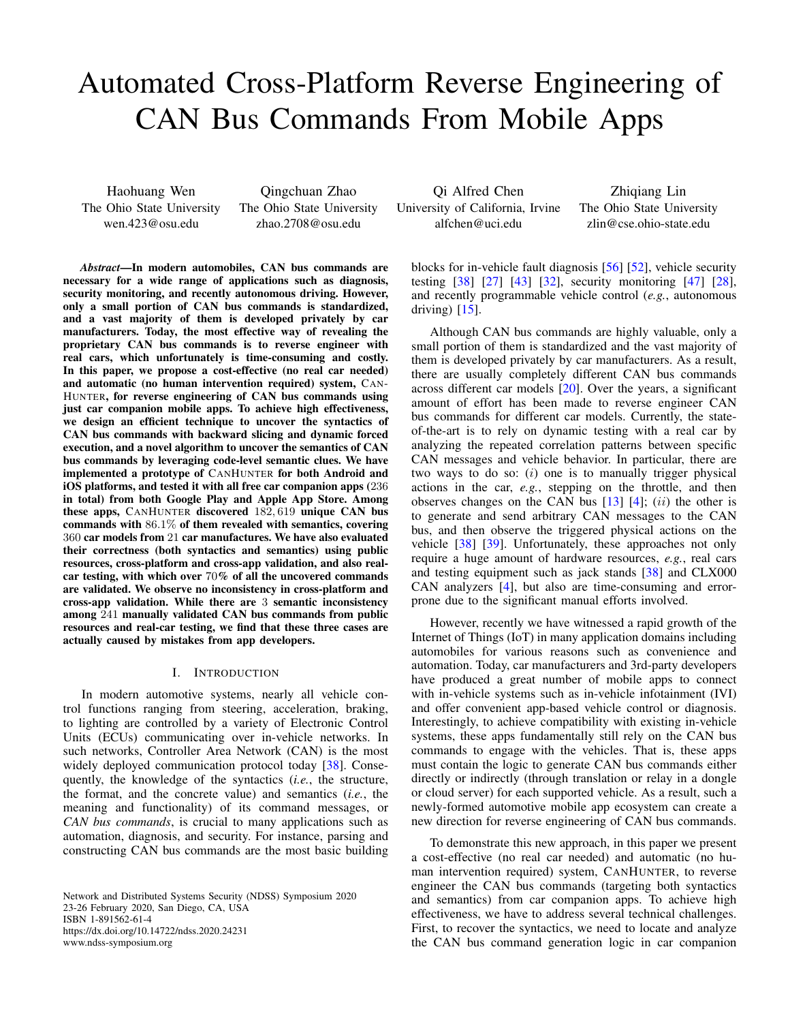# Automated Cross-Platform Reverse Engineering of CAN Bus Commands From Mobile Apps

Haohuang Wen The Ohio State University wen.423@osu.edu

Qingchuan Zhao The Ohio State University zhao.2708@osu.edu

*Abstract*—In modern automobiles, CAN bus commands are necessary for a wide range of applications such as diagnosis, security monitoring, and recently autonomous driving. However, only a small portion of CAN bus commands is standardized, and a vast majority of them is developed privately by car manufacturers. Today, the most effective way of revealing the proprietary CAN bus commands is to reverse engineer with real cars, which unfortunately is time-consuming and costly. In this paper, we propose a cost-effective (no real car needed) and automatic (no human intervention required) system, CAN-HUNTER, for reverse engineering of CAN bus commands using just car companion mobile apps. To achieve high effectiveness, we design an efficient technique to uncover the syntactics of CAN bus commands with backward slicing and dynamic forced execution, and a novel algorithm to uncover the semantics of CAN bus commands by leveraging code-level semantic clues. We have implemented a prototype of CANHUNTER for both Android and iOS platforms, and tested it with all free car companion apps (236 in total) from both Google Play and Apple App Store. Among these apps, CANHUNTER discovered 182, 619 unique CAN bus commands with 86.1% of them revealed with semantics, covering 360 car models from 21 car manufactures. We have also evaluated their correctness (both syntactics and semantics) using public resources, cross-platform and cross-app validation, and also realcar testing, with which over 70% of all the uncovered commands are validated. We observe no inconsistency in cross-platform and cross-app validation. While there are 3 semantic inconsistency among 241 manually validated CAN bus commands from public resources and real-car testing, we find that these three cases are actually caused by mistakes from app developers.

#### I. INTRODUCTION

In modern automotive systems, nearly all vehicle control functions ranging from steering, acceleration, braking, to lighting are controlled by a variety of Electronic Control Units (ECUs) communicating over in-vehicle networks. In such networks, Controller Area Network (CAN) is the most widely deployed communication protocol today [\[38\]](#page-14-0). Consequently, the knowledge of the syntactics (*i.e.*, the structure, the format, and the concrete value) and semantics (*i.e.*, the meaning and functionality) of its command messages, or *CAN bus commands*, is crucial to many applications such as automation, diagnosis, and security. For instance, parsing and constructing CAN bus commands are the most basic building

Network and Distributed Systems Security (NDSS) Symposium 2020 23-26 February 2020, San Diego, CA, USA ISBN 1-891562-61-4 https://dx.doi.org/10.14722/ndss.2020.24231 www.ndss-symposium.org

Qi Alfred Chen University of California, Irvine alfchen@uci.edu

Zhiqiang Lin The Ohio State University zlin@cse.ohio-state.edu

blocks for in-vehicle fault diagnosis [\[56\]](#page-15-0) [\[52\]](#page-15-1), vehicle security testing [\[38\]](#page-14-0) [\[27\]](#page-14-1) [\[43\]](#page-15-2) [\[32\]](#page-14-2), security monitoring [\[47\]](#page-15-3) [\[28\]](#page-14-3), and recently programmable vehicle control (*e.g.*, autonomous driving)  $[15]$ .

Although CAN bus commands are highly valuable, only a small portion of them is standardized and the vast majority of them is developed privately by car manufacturers. As a result, there are usually completely different CAN bus commands across different car models [\[20\]](#page-14-5). Over the years, a significant amount of effort has been made to reverse engineer CAN bus commands for different car models. Currently, the stateof-the-art is to rely on dynamic testing with a real car by analyzing the repeated correlation patterns between specific CAN messages and vehicle behavior. In particular, there are two ways to do so:  $(i)$  one is to manually trigger physical actions in the car, *e.g.*, stepping on the throttle, and then observes changes on the CAN bus  $[13]$   $[4]$ ;  $(ii)$  the other is to generate and send arbitrary CAN messages to the CAN bus, and then observe the triggered physical actions on the vehicle [\[38\]](#page-14-0) [\[39\]](#page-14-8). Unfortunately, these approaches not only require a huge amount of hardware resources, *e.g.*, real cars and testing equipment such as jack stands [\[38\]](#page-14-0) and CLX000 CAN analyzers [\[4\]](#page-14-7), but also are time-consuming and errorprone due to the significant manual efforts involved.

However, recently we have witnessed a rapid growth of the Internet of Things (IoT) in many application domains including automobiles for various reasons such as convenience and automation. Today, car manufacturers and 3rd-party developers have produced a great number of mobile apps to connect with in-vehicle systems such as in-vehicle infotainment (IVI) and offer convenient app-based vehicle control or diagnosis. Interestingly, to achieve compatibility with existing in-vehicle systems, these apps fundamentally still rely on the CAN bus commands to engage with the vehicles. That is, these apps must contain the logic to generate CAN bus commands either directly or indirectly (through translation or relay in a dongle or cloud server) for each supported vehicle. As a result, such a newly-formed automotive mobile app ecosystem can create a new direction for reverse engineering of CAN bus commands.

To demonstrate this new approach, in this paper we present a cost-effective (no real car needed) and automatic (no human intervention required) system, CANHUNTER, to reverse engineer the CAN bus commands (targeting both syntactics and semantics) from car companion apps. To achieve high effectiveness, we have to address several technical challenges. First, to recover the syntactics, we need to locate and analyze the CAN bus command generation logic in car companion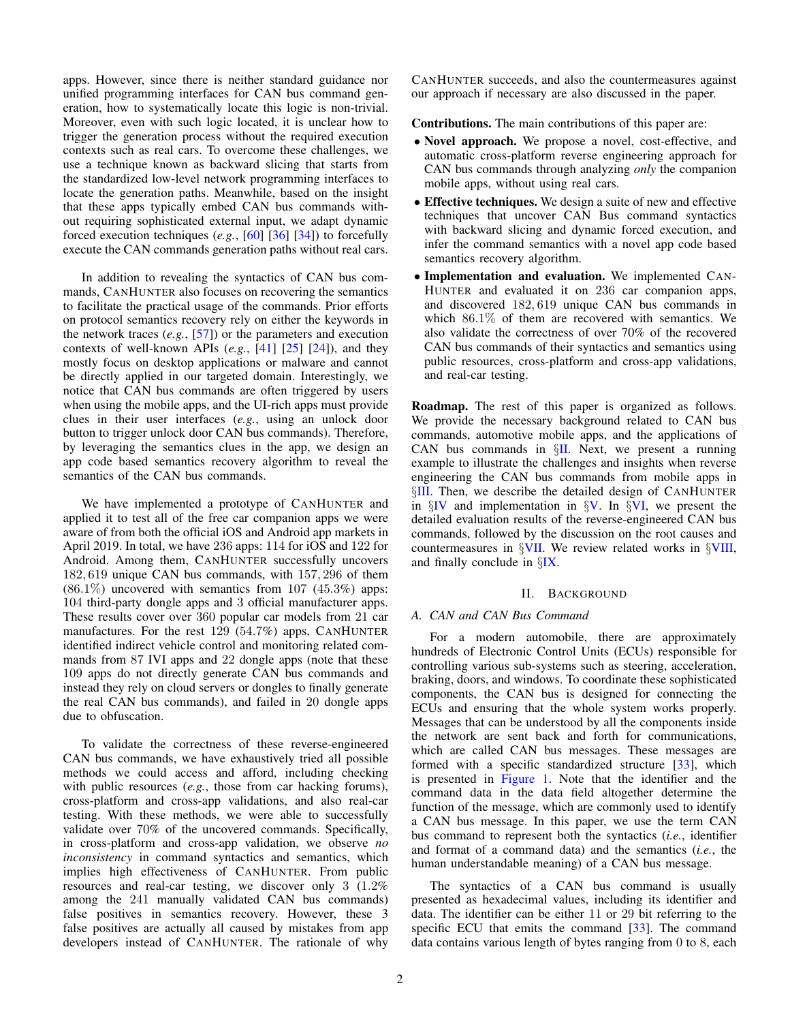apps. However, since there is neither standard guidance nor unified programming interfaces for CAN bus command generation, how to systematically locate this logic is non-trivial. Moreover, even with such logic located, it is unclear how to trigger the generation process without the required execution contexts such as real cars. To overcome these challenges, we use a technique known as backward slicing that starts from the standardized low-level network programming interfaces to locate the generation paths. Meanwhile, based on the insight that these apps typically embed CAN bus commands without requiring sophisticated external input, we adapt dynamic forced execution techniques (*e.g.*, [\[60\]](#page-15-4) [\[36\]](#page-14-9) [\[34\]](#page-14-10)) to forcefully execute the CAN commands generation paths without real cars.

In addition to revealing the syntactics of CAN bus commands, CANHUNTER also focuses on recovering the semantics to facilitate the practical usage of the commands. Prior efforts on protocol semantics recovery rely on either the keywords in the network traces (*e.g.*, [\[57\]](#page-15-5)) or the parameters and execution contexts of well-known APIs (*e.g.*, [\[41\]](#page-14-11) [\[25\]](#page-14-12) [\[24\]](#page-14-13)), and they mostly focus on desktop applications or malware and cannot be directly applied in our targeted domain. Interestingly, we notice that CAN bus commands are often triggered by users when using the mobile apps, and the UI-rich apps must provide clues in their user interfaces (*e.g.*, using an unlock door button to trigger unlock door CAN bus commands). Therefore, by leveraging the semantics clues in the app, we design an app code based semantics recovery algorithm to reveal the semantics of the CAN bus commands.

We have implemented a prototype of CANHUNTER and applied it to test all of the free car companion apps we were aware of from both the official iOS and Android app markets in April 2019. In total, we have 236 apps: 114 for iOS and 122 for Android. Among them, CANHUNTER successfully uncovers 182, 619 unique CAN bus commands, with 157, 296 of them  $(86.1\%)$  uncovered with semantics from 107  $(45.3\%)$  apps: 104 third-party dongle apps and 3 official manufacturer apps. These results cover over 360 popular car models from 21 car manufactures. For the rest 129 (54.7%) apps, CANHUNTER identified indirect vehicle control and monitoring related commands from 87 IVI apps and 22 dongle apps (note that these 109 apps do not directly generate CAN bus commands and instead they rely on cloud servers or dongles to finally generate the real CAN bus commands), and failed in 20 dongle apps due to obfuscation.

To validate the correctness of these reverse-engineered CAN bus commands, we have exhaustively tried all possible methods we could access and afford, including checking with public resources (*e.g.*, those from car hacking forums), cross-platform and cross-app validations, and also real-car testing. With these methods, we were able to successfully validate over 70% of the uncovered commands. Specifically, in cross-platform and cross-app validation, we observe *no inconsistency* in command syntactics and semantics, which implies high effectiveness of CANHUNTER. From public resources and real-car testing, we discover only 3 (1.2% among the 241 manually validated CAN bus commands) false positives in semantics recovery. However, these 3 false positives are actually all caused by mistakes from app developers instead of CANHUNTER. The rationale of why CANHUNTER succeeds, and also the countermeasures against our approach if necessary are also discussed in the paper.

Contributions. The main contributions of this paper are:

- Novel approach. We propose a novel, cost-effective, and automatic cross-platform reverse engineering approach for CAN bus commands through analyzing *only* the companion mobile apps, without using real cars.
- Effective techniques. We design a suite of new and effective techniques that uncover CAN Bus command syntactics with backward slicing and dynamic forced execution, and infer the command semantics with a novel app code based semantics recovery algorithm.
- Implementation and evaluation. We implemented CAN-HUNTER and evaluated it on 236 car companion apps, and discovered 182, 619 unique CAN bus commands in which 86.1% of them are recovered with semantics. We also validate the correctness of over 70% of the recovered CAN bus commands of their syntactics and semantics using public resources, cross-platform and cross-app validations, and real-car testing.

Roadmap. The rest of this paper is organized as follows. We provide the necessary background related to CAN bus commands, automotive mobile apps, and the applications of CAN bus commands in  $\S$ [II.](#page-1-0) Next, we present a running example to illustrate the challenges and insights when reverse engineering the CAN bus commands from mobile apps in §[III.](#page-3-0) Then, we describe the detailed design of CANHUNTER in  $\S$ [IV](#page-4-0) and implementation in  $\S$ [V.](#page-6-0) In  $\S$ [VI,](#page-7-0) we present the detailed evaluation results of the reverse-engineered CAN bus commands, followed by the discussion on the root causes and countermeasures in §[VII.](#page-12-0) We review related works in §[VIII,](#page-13-0) and finally conclude in §[IX.](#page-13-1)

# II. BACKGROUND

# <span id="page-1-0"></span>*A. CAN and CAN Bus Command*

For a modern automobile, there are approximately hundreds of Electronic Control Units (ECUs) responsible for controlling various sub-systems such as steering, acceleration, braking, doors, and windows. To coordinate these sophisticated components, the CAN bus is designed for connecting the ECUs and ensuring that the whole system works properly. Messages that can be understood by all the components inside the network are sent back and forth for communications, which are called CAN bus messages. These messages are formed with a specific standardized structure [\[33\]](#page-14-14), which is presented in [Figure 1.](#page-2-0) Note that the identifier and the command data in the data field altogether determine the function of the message, which are commonly used to identify a CAN bus message. In this paper, we use the term CAN bus command to represent both the syntactics (*i.e.*, identifier and format of a command data) and the semantics (*i.e.*, the human understandable meaning) of a CAN bus message.

The syntactics of a CAN bus command is usually presented as hexadecimal values, including its identifier and data. The identifier can be either 11 or 29 bit referring to the specific ECU that emits the command [\[33\]](#page-14-14). The command data contains various length of bytes ranging from 0 to 8, each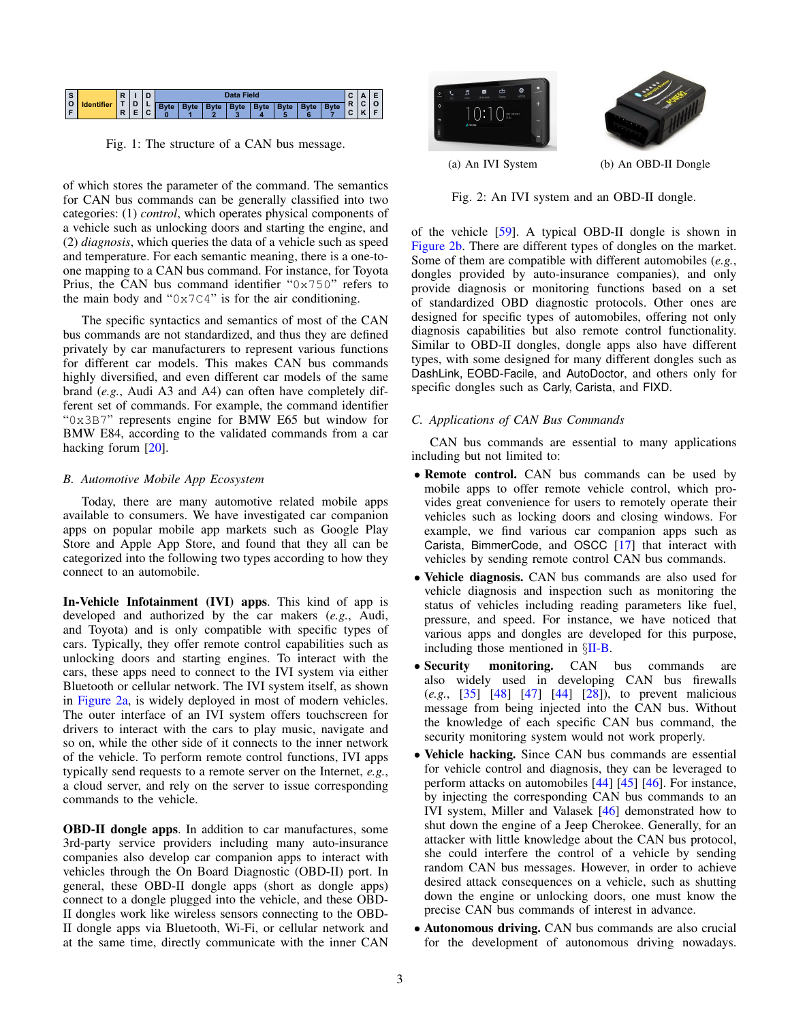<span id="page-2-0"></span>

Fig. 1: The structure of a CAN bus message.

of which stores the parameter of the command. The semantics for CAN bus commands can be generally classified into two categories: (1) *control*, which operates physical components of a vehicle such as unlocking doors and starting the engine, and (2) *diagnosis*, which queries the data of a vehicle such as speed and temperature. For each semantic meaning, there is a one-toone mapping to a CAN bus command. For instance, for Toyota Prius, the CAN bus command identifier "0x750" refers to the main body and " $0x7C4$ " is for the air conditioning.

The specific syntactics and semantics of most of the CAN bus commands are not standardized, and thus they are defined privately by car manufacturers to represent various functions for different car models. This makes CAN bus commands highly diversified, and even different car models of the same brand (*e.g.*, Audi A3 and A4) can often have completely different set of commands. For example, the command identifier "0x3B7" represents engine for BMW E65 but window for BMW E84, according to the validated commands from a car hacking forum [\[20\]](#page-14-5).

## <span id="page-2-2"></span>*B. Automotive Mobile App Ecosystem*

Today, there are many automotive related mobile apps available to consumers. We have investigated car companion apps on popular mobile app markets such as Google Play Store and Apple App Store, and found that they all can be categorized into the following two types according to how they connect to an automobile.

In-Vehicle Infotainment (IVI) apps. This kind of app is developed and authorized by the car makers (*e.g.*, Audi, and Toyota) and is only compatible with specific types of cars. Typically, they offer remote control capabilities such as unlocking doors and starting engines. To interact with the cars, these apps need to connect to the IVI system via either Bluetooth or cellular network. The IVI system itself, as shown in [Figure 2a,](#page-2-1) is widely deployed in most of modern vehicles. The outer interface of an IVI system offers touchscreen for drivers to interact with the cars to play music, navigate and so on, while the other side of it connects to the inner network of the vehicle. To perform remote control functions, IVI apps typically send requests to a remote server on the Internet, *e.g.*, a cloud server, and rely on the server to issue corresponding commands to the vehicle.

OBD-II dongle apps. In addition to car manufactures, some 3rd-party service providers including many auto-insurance companies also develop car companion apps to interact with vehicles through the On Board Diagnostic (OBD-II) port. In general, these OBD-II dongle apps (short as dongle apps) connect to a dongle plugged into the vehicle, and these OBD-II dongles work like wireless sensors connecting to the OBD-II dongle apps via Bluetooth, Wi-Fi, or cellular network and at the same time, directly communicate with the inner CAN

<span id="page-2-1"></span>

Fig. 2: An IVI system and an OBD-II dongle.

of the vehicle [\[59\]](#page-15-6). A typical OBD-II dongle is shown in [Figure 2b.](#page-2-1) There are different types of dongles on the market. Some of them are compatible with different automobiles (*e.g.*, dongles provided by auto-insurance companies), and only provide diagnosis or monitoring functions based on a set of standardized OBD diagnostic protocols. Other ones are designed for specific types of automobiles, offering not only diagnosis capabilities but also remote control functionality. Similar to OBD-II dongles, dongle apps also have different types, with some designed for many different dongles such as DashLink, EOBD-Facile, and AutoDoctor, and others only for specific dongles such as Carly, Carista, and FIXD.

## *C. Applications of CAN Bus Commands*

CAN bus commands are essential to many applications including but not limited to:

- Remote control. CAN bus commands can be used by mobile apps to offer remote vehicle control, which provides great convenience for users to remotely operate their vehicles such as locking doors and closing windows. For example, we find various car companion apps such as Carista, BimmerCode, and OSCC [\[17\]](#page-14-15) that interact with vehicles by sending remote control CAN bus commands.
- Vehicle diagnosis. CAN bus commands are also used for vehicle diagnosis and inspection such as monitoring the status of vehicles including reading parameters like fuel, pressure, and speed. For instance, we have noticed that various apps and dongles are developed for this purpose, including those mentioned in §[II-B.](#page-2-2)
- Security monitoring. CAN bus commands are also widely used in developing CAN bus firewalls (*e.g.*, [\[35\]](#page-14-16) [\[48\]](#page-15-7) [\[47\]](#page-15-3) [\[44\]](#page-15-8) [\[28\]](#page-14-3)), to prevent malicious message from being injected into the CAN bus. Without the knowledge of each specific CAN bus command, the security monitoring system would not work properly.
- Vehicle hacking. Since CAN bus commands are essential for vehicle control and diagnosis, they can be leveraged to perform attacks on automobiles [\[44\]](#page-15-8) [\[45\]](#page-15-9) [\[46\]](#page-15-10). For instance, by injecting the corresponding CAN bus commands to an IVI system, Miller and Valasek [\[46\]](#page-15-10) demonstrated how to shut down the engine of a Jeep Cherokee. Generally, for an attacker with little knowledge about the CAN bus protocol, she could interfere the control of a vehicle by sending random CAN bus messages. However, in order to achieve desired attack consequences on a vehicle, such as shutting down the engine or unlocking doors, one must know the precise CAN bus commands of interest in advance.
- Autonomous driving. CAN bus commands are also crucial for the development of autonomous driving nowadays.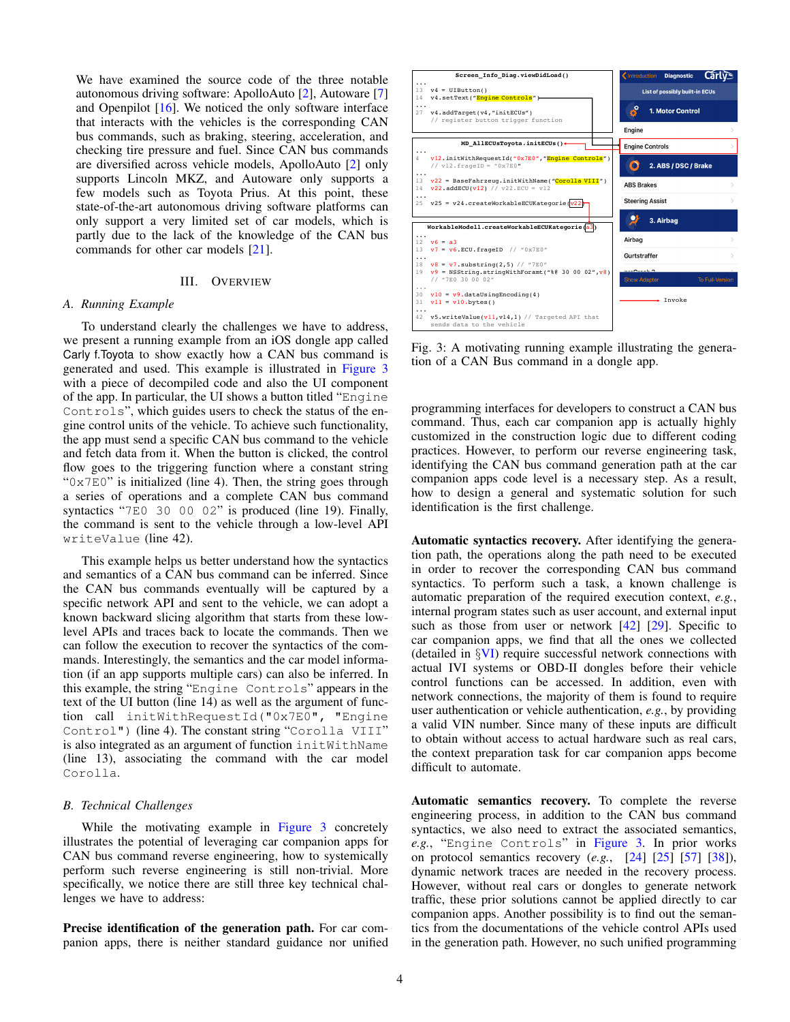We have examined the source code of the three notable autonomous driving software: ApolloAuto [\[2\]](#page-14-17), Autoware [\[7\]](#page-14-18) and Openpilot [\[16\]](#page-14-19). We noticed the only software interface that interacts with the vehicles is the corresponding CAN bus commands, such as braking, steering, acceleration, and checking tire pressure and fuel. Since CAN bus commands are diversified across vehicle models, ApolloAuto [\[2\]](#page-14-17) only supports Lincoln MKZ, and Autoware only supports a few models such as Toyota Prius. At this point, these state-of-the-art autonomous driving software platforms can only support a very limited set of car models, which is partly due to the lack of the knowledge of the CAN bus commands for other car models [\[21\]](#page-14-20).

#### III. OVERVIEW

#### <span id="page-3-0"></span>*A. Running Example*

To understand clearly the challenges we have to address, we present a running example from an iOS dongle app called Carly f.Toyota to show exactly how a CAN bus command is generated and used. This example is illustrated in [Figure 3](#page-3-1) with a piece of decompiled code and also the UI component of the app. In particular, the UI shows a button titled "Engine Controls", which guides users to check the status of the engine control units of the vehicle. To achieve such functionality, the app must send a specific CAN bus command to the vehicle and fetch data from it. When the button is clicked, the control flow goes to the triggering function where a constant string " $0 \times 7E0$ " is initialized (line 4). Then, the string goes through a series of operations and a complete CAN bus command syntactics "7E0 30 00 02" is produced (line 19). Finally, the command is sent to the vehicle through a low-level API writeValue (line 42).

This example helps us better understand how the syntactics and semantics of a CAN bus command can be inferred. Since the CAN bus commands eventually will be captured by a specific network API and sent to the vehicle, we can adopt a known backward slicing algorithm that starts from these lowlevel APIs and traces back to locate the commands. Then we can follow the execution to recover the syntactics of the commands. Interestingly, the semantics and the car model information (if an app supports multiple cars) can also be inferred. In this example, the string "Engine Controls" appears in the text of the UI button (line 14) as well as the argument of function call initWithRequestId("0x7E0", "Engine Control") (line 4). The constant string "Corolla VIII" is also integrated as an argument of function initWithName (line 13), associating the command with the car model Corolla.

#### *B. Technical Challenges*

While the motivating example in [Figure 3](#page-3-1) concretely illustrates the potential of leveraging car companion apps for CAN bus command reverse engineering, how to systemically perform such reverse engineering is still non-trivial. More specifically, we notice there are still three key technical challenges we have to address:

Precise identification of the generation path. For car companion apps, there is neither standard guidance nor unified

<span id="page-3-1"></span>

Fig. 3: A motivating running example illustrating the generation of a CAN Bus command in a dongle app.

programming interfaces for developers to construct a CAN bus command. Thus, each car companion app is actually highly customized in the construction logic due to different coding practices. However, to perform our reverse engineering task, identifying the CAN bus command generation path at the car companion apps code level is a necessary step. As a result, how to design a general and systematic solution for such identification is the first challenge.

Automatic syntactics recovery. After identifying the generation path, the operations along the path need to be executed in order to recover the corresponding CAN bus command syntactics. To perform such a task, a known challenge is automatic preparation of the required execution context, *e.g.*, internal program states such as user account, and external input such as those from user or network [\[42\]](#page-14-21) [\[29\]](#page-14-22). Specific to car companion apps, we find that all the ones we collected (detailed in §[VI\)](#page-7-0) require successful network connections with actual IVI systems or OBD-II dongles before their vehicle control functions can be accessed. In addition, even with network connections, the majority of them is found to require user authentication or vehicle authentication, *e.g.*, by providing a valid VIN number. Since many of these inputs are difficult to obtain without access to actual hardware such as real cars, the context preparation task for car companion apps become difficult to automate.

Automatic semantics recovery. To complete the reverse engineering process, in addition to the CAN bus command syntactics, we also need to extract the associated semantics, *e.g.*, "Engine Controls" in [Figure 3.](#page-3-1) In prior works on protocol semantics recovery (*e.g.*, [\[24\]](#page-14-13) [\[25\]](#page-14-12) [\[57\]](#page-15-5) [\[38\]](#page-14-0)), dynamic network traces are needed in the recovery process. However, without real cars or dongles to generate network traffic, these prior solutions cannot be applied directly to car companion apps. Another possibility is to find out the semantics from the documentations of the vehicle control APIs used in the generation path. However, no such unified programming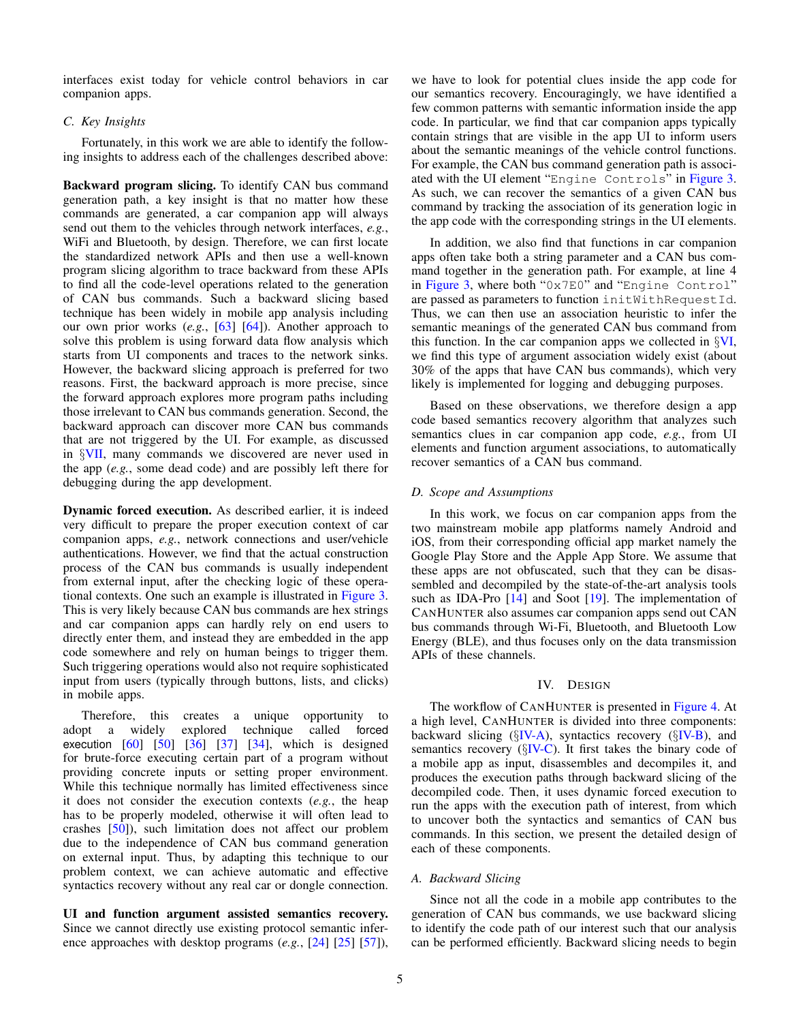interfaces exist today for vehicle control behaviors in car companion apps.

## *C. Key Insights*

Fortunately, in this work we are able to identify the following insights to address each of the challenges described above:

Backward program slicing. To identify CAN bus command generation path, a key insight is that no matter how these commands are generated, a car companion app will always send out them to the vehicles through network interfaces, *e.g.*, WiFi and Bluetooth, by design. Therefore, we can first locate the standardized network APIs and then use a well-known program slicing algorithm to trace backward from these APIs to find all the code-level operations related to the generation of CAN bus commands. Such a backward slicing based technique has been widely in mobile app analysis including our own prior works (*e.g.*, [\[63\]](#page-15-11) [\[64\]](#page-15-12)). Another approach to solve this problem is using forward data flow analysis which starts from UI components and traces to the network sinks. However, the backward slicing approach is preferred for two reasons. First, the backward approach is more precise, since the forward approach explores more program paths including those irrelevant to CAN bus commands generation. Second, the backward approach can discover more CAN bus commands that are not triggered by the UI. For example, as discussed in §[VII,](#page-12-0) many commands we discovered are never used in the app (*e.g.*, some dead code) and are possibly left there for debugging during the app development.

Dynamic forced execution. As described earlier, it is indeed very difficult to prepare the proper execution context of car companion apps, *e.g.*, network connections and user/vehicle authentications. However, we find that the actual construction process of the CAN bus commands is usually independent from external input, after the checking logic of these operational contexts. One such an example is illustrated in [Figure 3.](#page-3-1) This is very likely because CAN bus commands are hex strings and car companion apps can hardly rely on end users to directly enter them, and instead they are embedded in the app code somewhere and rely on human beings to trigger them. Such triggering operations would also not require sophisticated input from users (typically through buttons, lists, and clicks) in mobile apps.

Therefore, this creates a unique opportunity to adopt a widely explored technique called forced execution  $[60]$   $[50]$   $[36]$   $[37]$   $[34]$ , which is designed for brute-force executing certain part of a program without providing concrete inputs or setting proper environment. While this technique normally has limited effectiveness since it does not consider the execution contexts (*e.g.*, the heap has to be properly modeled, otherwise it will often lead to crashes [\[50\]](#page-15-13)), such limitation does not affect our problem due to the independence of CAN bus command generation on external input. Thus, by adapting this technique to our problem context, we can achieve automatic and effective syntactics recovery without any real car or dongle connection.

UI and function argument assisted semantics recovery. Since we cannot directly use existing protocol semantic inference approaches with desktop programs (*e.g.*, [\[24\]](#page-14-13) [\[25\]](#page-14-12) [\[57\]](#page-15-5)), we have to look for potential clues inside the app code for our semantics recovery. Encouragingly, we have identified a few common patterns with semantic information inside the app code. In particular, we find that car companion apps typically contain strings that are visible in the app UI to inform users about the semantic meanings of the vehicle control functions. For example, the CAN bus command generation path is associated with the UI element "Engine Controls" in [Figure 3.](#page-3-1) As such, we can recover the semantics of a given CAN bus command by tracking the association of its generation logic in the app code with the corresponding strings in the UI elements.

In addition, we also find that functions in car companion apps often take both a string parameter and a CAN bus command together in the generation path. For example, at line 4 in [Figure 3,](#page-3-1) where both "0x7E0" and "Engine Control" are passed as parameters to function initWithRequestId. Thus, we can then use an association heuristic to infer the semantic meanings of the generated CAN bus command from this function. In the car companion apps we collected in §[VI,](#page-7-0) we find this type of argument association widely exist (about 30% of the apps that have CAN bus commands), which very likely is implemented for logging and debugging purposes.

Based on these observations, we therefore design a app code based semantics recovery algorithm that analyzes such semantics clues in car companion app code, *e.g.*, from UI elements and function argument associations, to automatically recover semantics of a CAN bus command.

#### *D. Scope and Assumptions*

In this work, we focus on car companion apps from the two mainstream mobile app platforms namely Android and iOS, from their corresponding official app market namely the Google Play Store and the Apple App Store. We assume that these apps are not obfuscated, such that they can be disassembled and decompiled by the state-of-the-art analysis tools such as IDA-Pro [\[14\]](#page-14-24) and Soot [\[19\]](#page-14-25). The implementation of CANHUNTER also assumes car companion apps send out CAN bus commands through Wi-Fi, Bluetooth, and Bluetooth Low Energy (BLE), and thus focuses only on the data transmission APIs of these channels.

#### IV. DESIGN

<span id="page-4-0"></span>The workflow of CANHUNTER is presented in [Figure 4.](#page-5-0) At a high level, CANHUNTER is divided into three components: backward slicing ( $\S$ [IV-A\)](#page-4-1), syntactics recovery ( $\S$ [IV-B\)](#page-6-1), and semantics recovery  $(\S$ [IV-C\)](#page-6-2). It first takes the binary code of a mobile app as input, disassembles and decompiles it, and produces the execution paths through backward slicing of the decompiled code. Then, it uses dynamic forced execution to run the apps with the execution path of interest, from which to uncover both the syntactics and semantics of CAN bus commands. In this section, we present the detailed design of each of these components.

## <span id="page-4-1"></span>*A. Backward Slicing*

Since not all the code in a mobile app contributes to the generation of CAN bus commands, we use backward slicing to identify the code path of our interest such that our analysis can be performed efficiently. Backward slicing needs to begin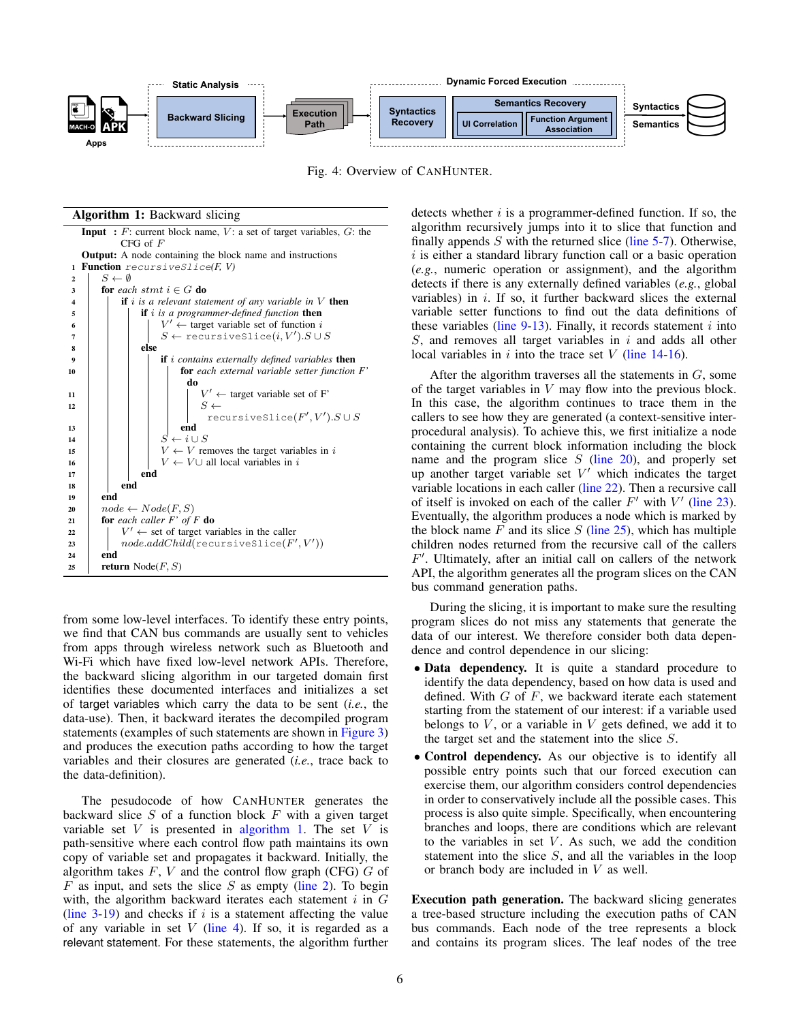<span id="page-5-0"></span>

Fig. 4: Overview of CANHUNTER.

Algorithm 1: Backward slicing

<span id="page-5-8"></span><span id="page-5-7"></span><span id="page-5-6"></span><span id="page-5-5"></span><span id="page-5-3"></span><span id="page-5-2"></span><span id="page-5-1"></span>

<span id="page-5-15"></span><span id="page-5-14"></span><span id="page-5-13"></span><span id="page-5-12"></span><span id="page-5-11"></span><span id="page-5-10"></span><span id="page-5-9"></span><span id="page-5-4"></span>from some low-level interfaces. To identify these entry points, we find that CAN bus commands are usually sent to vehicles from apps through wireless network such as Bluetooth and Wi-Fi which have fixed low-level network APIs. Therefore, the backward slicing algorithm in our targeted domain first identifies these documented interfaces and initializes a set of target variables which carry the data to be sent (*i.e.*, the data-use). Then, it backward iterates the decompiled program statements (examples of such statements are shown in [Figure 3\)](#page-3-1) and produces the execution paths according to how the target variables and their closures are generated (*i.e.*, trace back to the data-definition).

The pesudocode of how CANHUNTER generates the backward slice  $S$  of a function block  $F$  with a given target variable set  $V$  is presented in [algorithm 1.](#page-5-1) The set  $V$  is path-sensitive where each control flow path maintains its own copy of variable set and propagates it backward. Initially, the algorithm takes  $F, V$  and the control flow graph (CFG)  $G$  of  $F$  as input, and sets the slice  $S$  as empty [\(line 2\)](#page-5-2). To begin with, the algorithm backward iterates each statement  $i$  in  $G$ (line  $3-19$ ) and checks if i is a statement affecting the value of any variable in set  $V$  [\(line 4\)](#page-5-5). If so, it is regarded as a relevant statement. For these statements, the algorithm further detects whether  $i$  is a programmer-defined function. If so, the algorithm recursively jumps into it to slice that function and finally appends  $S$  with the returned slice [\(line 5-](#page-5-6)[7\)](#page-5-7). Otherwise,  $i$  is either a standard library function call or a basic operation (*e.g.*, numeric operation or assignment), and the algorithm detects if there is any externally defined variables (*e.g.*, global variables) in  $i$ . If so, it further backward slices the external variable setter functions to find out the data definitions of these variables (line  $9-13$ ). Finally, it records statement i into  $S$ , and removes all target variables in i and adds all other local variables in i into the trace set  $V$  [\(line 14](#page-5-10)[-16\)](#page-5-11).

After the algorithm traverses all the statements in  $G$ , some of the target variables in  $V$  may flow into the previous block. In this case, the algorithm continues to trace them in the callers to see how they are generated (a context-sensitive interprocedural analysis). To achieve this, we first initialize a node containing the current block information including the block name and the program slice  $S$  [\(line 20\)](#page-5-12), and properly set up another target variable set  $V'$  which indicates the target variable locations in each caller [\(line 22\)](#page-5-13). Then a recursive call of itself is invoked on each of the caller  $F'$  with  $V'$  [\(line 23\)](#page-5-14). Eventually, the algorithm produces a node which is marked by the block name  $F$  and its slice  $S$  [\(line 25\)](#page-5-15), which has multiple children nodes returned from the recursive call of the callers  $F'$ . Ultimately, after an initial call on callers of the network API, the algorithm generates all the program slices on the CAN bus command generation paths.

During the slicing, it is important to make sure the resulting program slices do not miss any statements that generate the data of our interest. We therefore consider both data dependence and control dependence in our slicing:

- Data dependency. It is quite a standard procedure to identify the data dependency, based on how data is used and defined. With  $G$  of  $F$ , we backward iterate each statement starting from the statement of our interest: if a variable used belongs to  $V$ , or a variable in  $V$  gets defined, we add it to the target set and the statement into the slice S.
- Control dependency. As our objective is to identify all possible entry points such that our forced execution can exercise them, our algorithm considers control dependencies in order to conservatively include all the possible cases. This process is also quite simple. Specifically, when encountering branches and loops, there are conditions which are relevant to the variables in set  $V$ . As such, we add the condition statement into the slice  $S$ , and all the variables in the loop or branch body are included in V as well.

Execution path generation. The backward slicing generates a tree-based structure including the execution paths of CAN bus commands. Each node of the tree represents a block and contains its program slices. The leaf nodes of the tree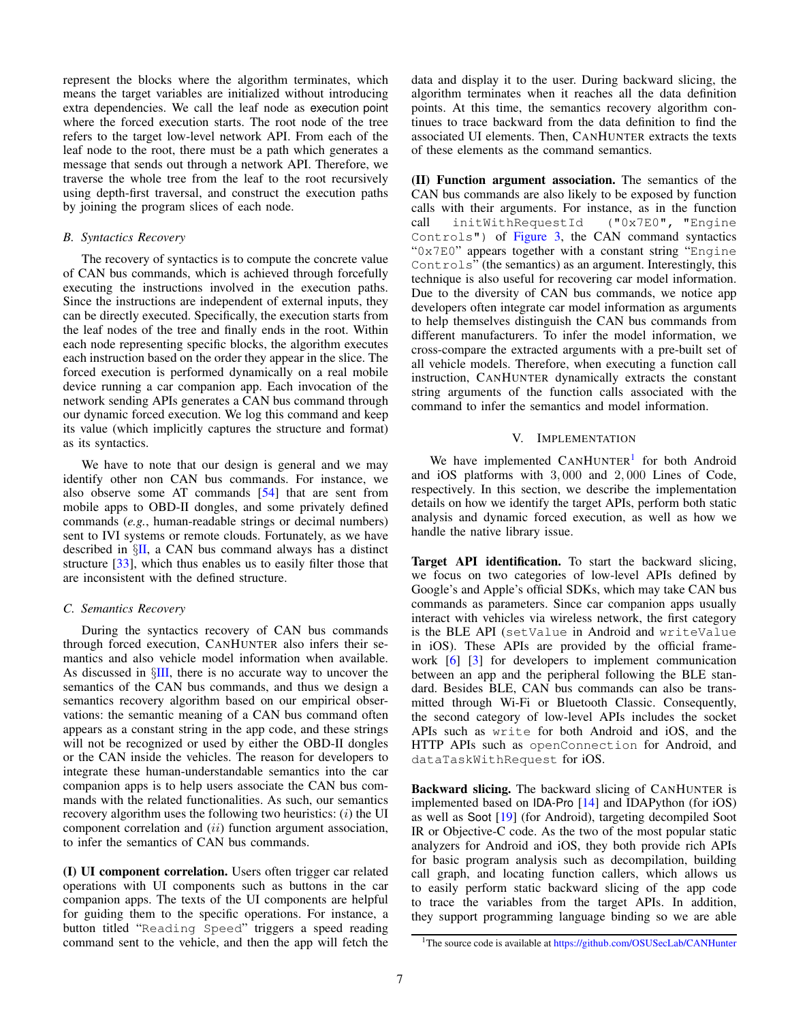represent the blocks where the algorithm terminates, which means the target variables are initialized without introducing extra dependencies. We call the leaf node as execution point where the forced execution starts. The root node of the tree refers to the target low-level network API. From each of the leaf node to the root, there must be a path which generates a message that sends out through a network API. Therefore, we traverse the whole tree from the leaf to the root recursively using depth-first traversal, and construct the execution paths by joining the program slices of each node.

#### <span id="page-6-1"></span>*B. Syntactics Recovery*

The recovery of syntactics is to compute the concrete value of CAN bus commands, which is achieved through forcefully executing the instructions involved in the execution paths. Since the instructions are independent of external inputs, they can be directly executed. Specifically, the execution starts from the leaf nodes of the tree and finally ends in the root. Within each node representing specific blocks, the algorithm executes each instruction based on the order they appear in the slice. The forced execution is performed dynamically on a real mobile device running a car companion app. Each invocation of the network sending APIs generates a CAN bus command through our dynamic forced execution. We log this command and keep its value (which implicitly captures the structure and format) as its syntactics.

We have to note that our design is general and we may identify other non CAN bus commands. For instance, we also observe some AT commands [\[54\]](#page-15-14) that are sent from mobile apps to OBD-II dongles, and some privately defined commands (*e.g.*, human-readable strings or decimal numbers) sent to IVI systems or remote clouds. Fortunately, as we have described in  $\S$ [II,](#page-1-0) a CAN bus command always has a distinct structure [\[33\]](#page-14-14), which thus enables us to easily filter those that are inconsistent with the defined structure.

## <span id="page-6-2"></span>*C. Semantics Recovery*

During the syntactics recovery of CAN bus commands through forced execution, CANHUNTER also infers their semantics and also vehicle model information when available. As discussed in  $\S$ [III,](#page-3-0) there is no accurate way to uncover the semantics of the CAN bus commands, and thus we design a semantics recovery algorithm based on our empirical observations: the semantic meaning of a CAN bus command often appears as a constant string in the app code, and these strings will not be recognized or used by either the OBD-II dongles or the CAN inside the vehicles. The reason for developers to integrate these human-understandable semantics into the car companion apps is to help users associate the CAN bus commands with the related functionalities. As such, our semantics recovery algorithm uses the following two heuristics:  $(i)$  the UI component correlation and *(ii)* function argument association, to infer the semantics of CAN bus commands.

(I) UI component correlation. Users often trigger car related operations with UI components such as buttons in the car companion apps. The texts of the UI components are helpful for guiding them to the specific operations. For instance, a button titled "Reading Speed" triggers a speed reading command sent to the vehicle, and then the app will fetch the data and display it to the user. During backward slicing, the algorithm terminates when it reaches all the data definition points. At this time, the semantics recovery algorithm continues to trace backward from the data definition to find the associated UI elements. Then, CANHUNTER extracts the texts of these elements as the command semantics.

(II) Function argument association. The semantics of the CAN bus commands are also likely to be exposed by function calls with their arguments. For instance, as in the function call initWithRequestId ("0x7E0", "Engine Controls") of [Figure 3,](#page-3-1) the CAN command syntactics "0x7E0" appears together with a constant string "Engine Controls" (the semantics) as an argument. Interestingly, this technique is also useful for recovering car model information. Due to the diversity of CAN bus commands, we notice app developers often integrate car model information as arguments to help themselves distinguish the CAN bus commands from different manufacturers. To infer the model information, we cross-compare the extracted arguments with a pre-built set of all vehicle models. Therefore, when executing a function call instruction, CANHUNTER dynamically extracts the constant string arguments of the function calls associated with the command to infer the semantics and model information.

#### V. IMPLEMENTATION

<span id="page-6-0"></span>We have implemented CANHUNTER<sup>[1](#page-6-3)</sup> for both Android and iOS platforms with 3, 000 and 2, 000 Lines of Code, respectively. In this section, we describe the implementation details on how we identify the target APIs, perform both static analysis and dynamic forced execution, as well as how we handle the native library issue.

Target API identification. To start the backward slicing, we focus on two categories of low-level APIs defined by Google's and Apple's official SDKs, which may take CAN bus commands as parameters. Since car companion apps usually interact with vehicles via wireless network, the first category is the BLE API (setValue in Android and writeValue in iOS). These APIs are provided by the official framework [\[6\]](#page-14-26) [\[3\]](#page-14-27) for developers to implement communication between an app and the peripheral following the BLE standard. Besides BLE, CAN bus commands can also be transmitted through Wi-Fi or Bluetooth Classic. Consequently, the second category of low-level APIs includes the socket APIs such as write for both Android and iOS, and the HTTP APIs such as openConnection for Android, and dataTaskWithRequest for iOS.

Backward slicing. The backward slicing of CANHUNTER is implemented based on IDA-Pro [\[14\]](#page-14-24) and IDAPython (for iOS) as well as Soot [\[19\]](#page-14-25) (for Android), targeting decompiled Soot IR or Objective-C code. As the two of the most popular static analyzers for Android and iOS, they both provide rich APIs for basic program analysis such as decompilation, building call graph, and locating function callers, which allows us to easily perform static backward slicing of the app code to trace the variables from the target APIs. In addition, they support programming language binding so we are able

<span id="page-6-3"></span><sup>&</sup>lt;sup>1</sup>The source code is available at https://github.[com/OSUSecLab/CANHunter](https://github.com/OSUSecLab/CANHunter)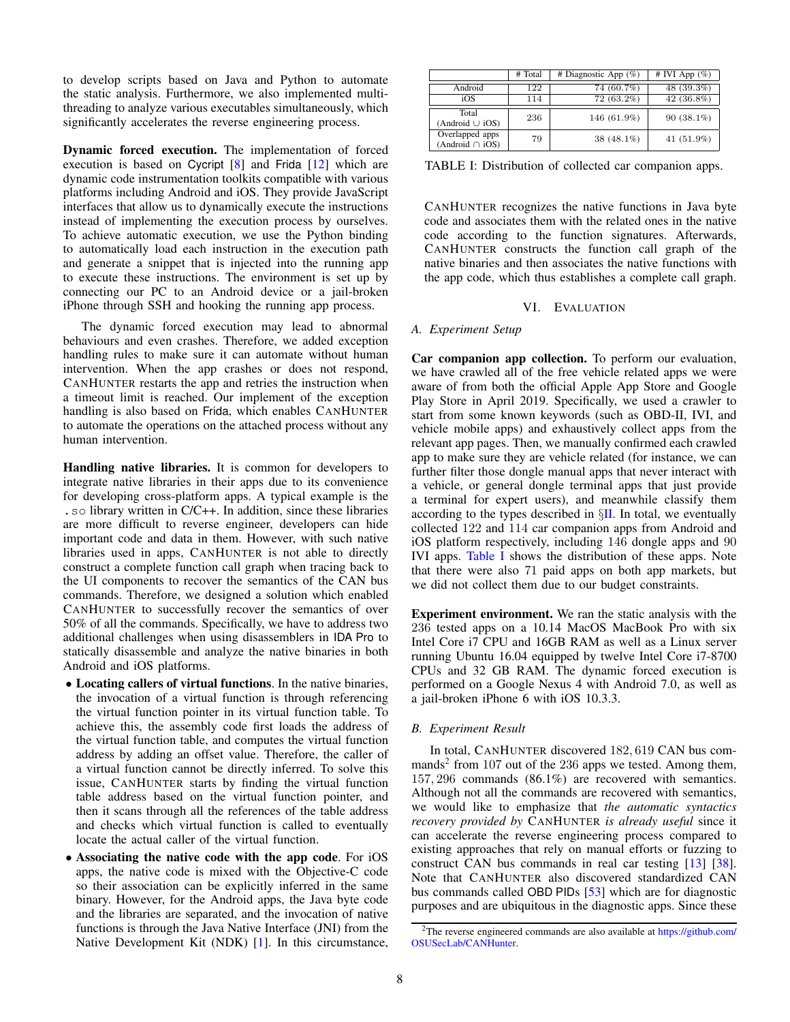to develop scripts based on Java and Python to automate the static analysis. Furthermore, we also implemented multithreading to analyze various executables simultaneously, which significantly accelerates the reverse engineering process.

Dynamic forced execution. The implementation of forced execution is based on Cycript [\[8\]](#page-14-28) and Frida [\[12\]](#page-14-29) which are dynamic code instrumentation toolkits compatible with various platforms including Android and iOS. They provide JavaScript interfaces that allow us to dynamically execute the instructions instead of implementing the execution process by ourselves. To achieve automatic execution, we use the Python binding to automatically load each instruction in the execution path and generate a snippet that is injected into the running app to execute these instructions. The environment is set up by connecting our PC to an Android device or a jail-broken iPhone through SSH and hooking the running app process.

The dynamic forced execution may lead to abnormal behaviours and even crashes. Therefore, we added exception handling rules to make sure it can automate without human intervention. When the app crashes or does not respond, CANHUNTER restarts the app and retries the instruction when a timeout limit is reached. Our implement of the exception handling is also based on Frida, which enables CANHUNTER to automate the operations on the attached process without any human intervention.

Handling native libraries. It is common for developers to integrate native libraries in their apps due to its convenience for developing cross-platform apps. A typical example is the .so library written in C/C++. In addition, since these libraries are more difficult to reverse engineer, developers can hide important code and data in them. However, with such native libraries used in apps, CANHUNTER is not able to directly construct a complete function call graph when tracing back to the UI components to recover the semantics of the CAN bus commands. Therefore, we designed a solution which enabled CANHUNTER to successfully recover the semantics of over 50% of all the commands. Specifically, we have to address two additional challenges when using disassemblers in IDA Pro to statically disassemble and analyze the native binaries in both Android and iOS platforms.

- Locating callers of virtual functions. In the native binaries, the invocation of a virtual function is through referencing the virtual function pointer in its virtual function table. To achieve this, the assembly code first loads the address of the virtual function table, and computes the virtual function address by adding an offset value. Therefore, the caller of a virtual function cannot be directly inferred. To solve this issue, CANHUNTER starts by finding the virtual function table address based on the virtual function pointer, and then it scans through all the references of the table address and checks which virtual function is called to eventually locate the actual caller of the virtual function.
- Associating the native code with the app code. For iOS apps, the native code is mixed with the Objective-C code so their association can be explicitly inferred in the same binary. However, for the Android apps, the Java byte code and the libraries are separated, and the invocation of native functions is through the Java Native Interface (JNI) from the Native Development Kit (NDK) [\[1\]](#page-14-30). In this circumstance,

<span id="page-7-1"></span>

|                                         | # Total | # Diagnostic App $(\%)$ | # IVI App $(\%)$ |
|-----------------------------------------|---------|-------------------------|------------------|
| Android                                 | 122     | 74 (60.7%)              | 48 (39.3%)       |
| iOS                                     | 114     | 72 (63.2%)              | 42 (36.8%)       |
| Total<br>(Android $\cup$ iOS)           | 236     | 146 (61.9%)             | $90(38.1\%)$     |
| Overlapped apps<br>(Android $\cap$ iOS) | 79      | 38 $(48.1\%)$           | 41 (51.9%)       |

TABLE I: Distribution of collected car companion apps.

CANHUNTER recognizes the native functions in Java byte code and associates them with the related ones in the native code according to the function signatures. Afterwards, CANHUNTER constructs the function call graph of the native binaries and then associates the native functions with the app code, which thus establishes a complete call graph.

## VI. EVALUATION

## <span id="page-7-0"></span>*A. Experiment Setup*

Car companion app collection. To perform our evaluation, we have crawled all of the free vehicle related apps we were aware of from both the official Apple App Store and Google Play Store in April 2019. Specifically, we used a crawler to start from some known keywords (such as OBD-II, IVI, and vehicle mobile apps) and exhaustively collect apps from the relevant app pages. Then, we manually confirmed each crawled app to make sure they are vehicle related (for instance, we can further filter those dongle manual apps that never interact with a vehicle, or general dongle terminal apps that just provide a terminal for expert users), and meanwhile classify them according to the types described in  $\S$ [II.](#page-1-0) In total, we eventually collected 122 and 114 car companion apps from Android and iOS platform respectively, including 146 dongle apps and 90 IVI apps. [Table I](#page-7-1) shows the distribution of these apps. Note that there were also 71 paid apps on both app markets, but we did not collect them due to our budget constraints.

Experiment environment. We ran the static analysis with the 236 tested apps on a 10.14 MacOS MacBook Pro with six Intel Core i7 CPU and 16GB RAM as well as a Linux server running Ubuntu 16.04 equipped by twelve Intel Core i7-8700 CPUs and 32 GB RAM. The dynamic forced execution is performed on a Google Nexus 4 with Android 7.0, as well as a jail-broken iPhone 6 with iOS 10.3.3.

## *B. Experiment Result*

In total, CANHUNTER discovered 182, 619 CAN bus com-mands<sup>[2](#page-7-2)</sup> from 107 out of the 236 apps we tested. Among them, 157, 296 commands (86.1%) are recovered with semantics. Although not all the commands are recovered with semantics, we would like to emphasize that *the automatic syntactics recovery provided by* CANHUNTER *is already useful* since it can accelerate the reverse engineering process compared to existing approaches that rely on manual efforts or fuzzing to construct CAN bus commands in real car testing [\[13\]](#page-14-6) [\[38\]](#page-14-0). Note that CANHUNTER also discovered standardized CAN bus commands called OBD PIDs [\[53\]](#page-15-15) which are for diagnostic purposes and are ubiquitous in the diagnostic apps. Since these

<span id="page-7-2"></span><sup>&</sup>lt;sup>2</sup>The reverse engineered commands are also available at [https://github](https://github.com/OSUSecLab/CANHunter).com/ [OSUSecLab/CANHunter.](https://github.com/OSUSecLab/CANHunter)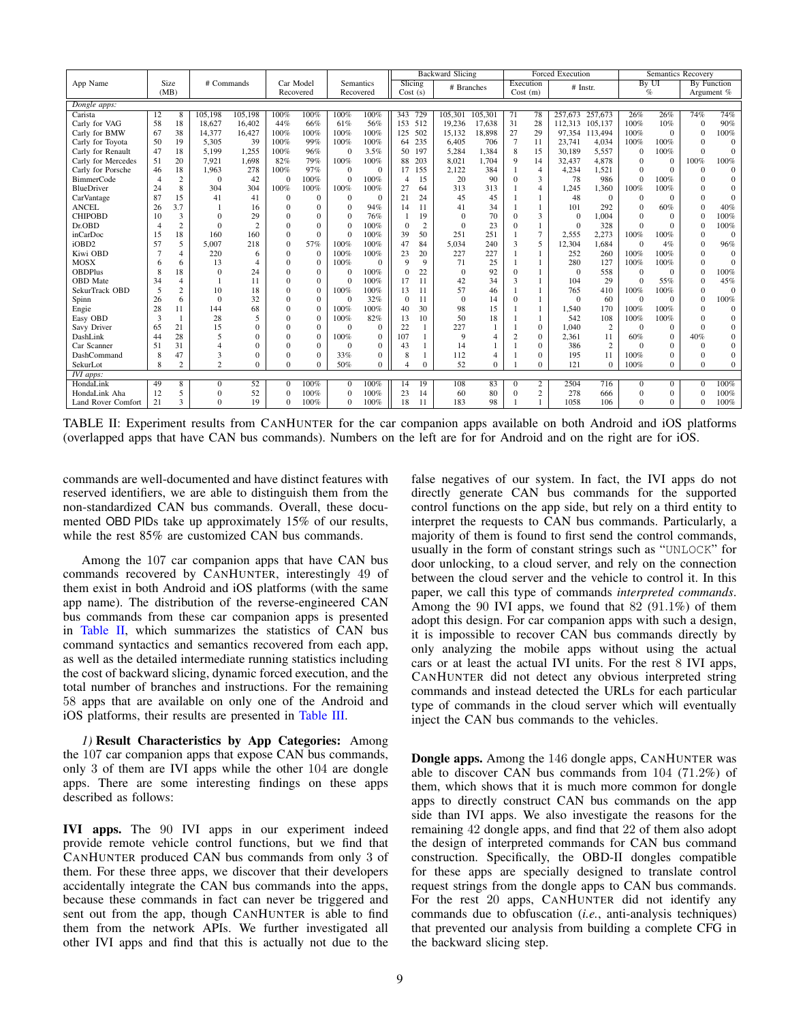<span id="page-8-0"></span>

|                    |                |                |                |                |                |              |              |              |             |                | <b>Backward Slicing</b> |          |                |                  | <b>Forced Execution</b> |                |              | <b>Semantics Recovery</b> |            |              |
|--------------------|----------------|----------------|----------------|----------------|----------------|--------------|--------------|--------------|-------------|----------------|-------------------------|----------|----------------|------------------|-------------------------|----------------|--------------|---------------------------|------------|--------------|
| App Name           |                | Size           | # Commands     |                | Car Model      |              |              | Semantics    |             | Slicing        |                         |          |                | Execution        |                         | # Instr.       |              | By UI                     |            | By Function  |
|                    |                | (MB)           |                |                | Recovered      |              |              | Recovered    | Cost(s)     |                | # Branches              |          |                | Cost(m)          |                         |                |              | $\%$                      | Argument % |              |
| Dongle apps:       |                |                |                |                |                |              |              |              |             |                |                         |          |                |                  |                         |                |              |                           |            |              |
| Carista            | 12             | 8              | 105,198        | 105,198        | 100%           | 100%         | 100%         | 100%         | 343         | 729            | 105,301                 | 105.301  | 71             | 78               | 257,673                 | 257,673        | 26%          | 26%                       | 74%        | 74%          |
| Carly for VAG      | 58             | 18             | 18,627         | 16,402         | 44%            | 66%          | 61%          | 56%          | 153         | 512            | 19,236                  | 17,638   | 31             | 28               | 112.313                 | 105.137        | 100%         | 10%                       | $\Omega$   | 90%          |
| Carly for BMW      | 67             | 38             | 14.377         | 16,427         | 100%           | 100%         | 100%         | 100%         | 125         | 502            | 15,132                  | 18,898   | 27             | 29               | 97.354                  | 113,494        | 100%         | $\Omega$                  | $\theta$   | 100%         |
| Carly for Toyota   | 50             | 19             | 5.305          | 39             | 100%           | 99%          | 100%         | 100%         | 64          | 235            | 6.405                   | 706      | $\overline{7}$ | 11               | 23,741                  | 4.034          | 100%         | 100%                      | $\Omega$   | $\Omega$     |
| Carly for Renault  | 47             | 18             | 5,199          | 1,255          | 100%           | 96%          | $\Omega$     | 3.5%         | 50          | 197            | 5,284                   | 1,384    | 8              | 15               | 30,189                  | 5,557          | $\Omega$     | 100%                      | $\Omega$   | $\Omega$     |
| Carly for Mercedes | 51             | 20             | 7,921          | 1,698          | 82%            | 79%          | 100%         | 100%         | 88          | 203            | 8,021                   | 1.704    | 9              | 14               | 32,437                  | 4,878          | $\Omega$     | $\Omega$                  | 100%       | 100%         |
| Carly for Porsche  | 46             | 18             | 1.963          | 278            | 100%           | 97%          | $\Omega$     | $\mathbf{0}$ | 17          | 155            | 2,122                   | 384      |                | $\overline{4}$   | 4,234                   | 1,521          | $\Omega$     | $\Omega$                  | $\theta$   | $\theta$     |
| <b>BimmerCode</b>  | $\overline{4}$ | 2              | $\Omega$       | 42             | $\theta$       | 100%         | $\mathbf{0}$ | 100%         | 4           | 15             | 20                      | 90       | $\Omega$       | 3                | 78                      | 986            | $\Omega$     | 100%                      | $\Omega$   | $\theta$     |
| BlueDriver         | 24             | 8              | 304            | 304            | 100%           | 100%         | 100%         | 100%         | 27          | 64             | 313                     | 313      |                | $\overline{4}$   | 1,245                   | 1,360          | 100%         | 100%                      | $\Omega$   | $\Omega$     |
| CarVantage         | 87             | 15             | 41             | 41             | $\theta$       | $\Omega$     | $\Omega$     | $\mathbf{0}$ | 21          | 24             | 45                      | 45       |                |                  | 48                      | $\theta$       | $\Omega$     | $\Omega$                  | $\Omega$   | $\theta$     |
| <b>ANCEL</b>       | 26             | 3.7            |                | 16             | $\theta$       | $\Omega$     | $\Omega$     | 94%          | 14          | 11             | 41                      | 34       |                |                  | 101                     | 292            | $\Omega$     | 60%                       | $\Omega$   | 40%          |
| <b>CHIPOBD</b>     | 10             | 3              | $\Omega$       | 29             | $\Omega$       | $\Omega$     | $\Omega$     | 76%          |             | 19             | $\Omega$                | 70       | $\Omega$       | 3                | $\theta$                | 1.004          | $\Omega$     | $\Omega$                  | $\Omega$   | 100%         |
| Dr.OBD             | 4              | 2              | $\Omega$       | $\overline{2}$ | $\Omega$       | $\Omega$     | $\Omega$     | 100%         | $\Omega$    | $\overline{c}$ | $\Omega$                | 23       | $\Omega$       | 1                | $\Omega$                | 328            | $\Omega$     | $\Omega$                  | $\Omega$   | 100%         |
| inCarDoc           | 15             | 18             | 160            | 160            | $\Omega$       | $\Omega$     | $\Omega$     | 100%         | 39          | 50             | 251                     | 251      |                | 7                | 2,555                   | 2,273          | 100%         | 100%                      | $\Omega$   | $\Omega$     |
| iOBD2              | 57             | 5              | 5.007          | 218            | $\Omega$       | 57%          | 100%         | 100%         | 47          | 84             | 5.034                   | 240      | 3              | 5                | 12,304                  | 1,684          | $\Omega$     | 4%                        | $\Omega$   | 96%          |
| Kiwi OBD           |                | $\overline{4}$ | 220            | 6              | $\Omega$       | $\mathbf{0}$ | 100%         | 100%         | 23          | 20             | 227                     | 227      |                | 1                | 252                     | 260            | 100%         | 100%                      | $\Omega$   | $\Omega$     |
| <b>MOSX</b>        | 6              | 6              | 13             | $\overline{4}$ | $\Omega$       | $\Omega$     | 100%         | $\Omega$     | $\mathbf Q$ | 9              | 71                      | 25       |                |                  | 280                     | 127            | 100%         | 100%                      | $\Omega$   | $\Omega$     |
| <b>OBDPlus</b>     | 8              | 18             | $\Omega$       | 24             | $\Omega$       | $\Omega$     | $\Omega$     | 100%         |             | 22             | $\Omega$                | 92       | $\Omega$       |                  | $\Omega$                | 558            | $\Omega$     | $\Omega$                  | $\Omega$   | 100%         |
| <b>OBD</b> Mate    | 34             | $\overline{4}$ |                | 11             | $\Omega$       | $\Omega$     | $\Omega$     | 100%         | 17          | 11             | 42                      | 34       | 3              |                  | 104                     | 29             | $\Omega$     | 55%                       | $\Omega$   | 45%          |
| SekurTrack OBD     | 5              | $\overline{c}$ | 10             | 18             | $\Omega$       | $\mathbf{0}$ | 100%         | 100%         | 13          | 11             | 57                      | 46       |                |                  | 765                     | 410            | 100%         | 100%                      | $\Omega$   | $\Omega$     |
| Spinn              | 26             | 6              | $\Omega$       | 32             | $\Omega$       | $\Omega$     | $\Omega$     | 32%          | $\Omega$    | 11             | $\Omega$                | 14       | $\Omega$       |                  | $\Omega$                | 60             | $\Omega$     | $\Omega$                  | $\Omega$   | 100%         |
| Engie              | 28             | 11             | 144            | 68             | $\Omega$       | $\Omega$     | 100%         | 100%         | 40          | 30             | 98                      | 15       |                | 1                | 1,540                   | 170            | 100%         | 100%                      | $\Omega$   | $\Omega$     |
| Easy OBD           | 3              |                | 28             | 5              | $\Omega$       | $\Omega$     | 100%         | 82%          | 13          | 10             | 50                      | 18       |                | 1                | 542                     | 108            | 100%         | 100%                      | $\Omega$   | $\theta$     |
| Savy Driver        | 65             | 21             | 15             | $\Omega$       | $\Omega$       | $\Omega$     | $\Omega$     | $\Omega$     | 22          | 1              | 227                     | 1        |                | $\mathbf{0}$     | 1.040                   | $\overline{c}$ | $\Omega$     | $\Omega$                  | $\Omega$   | $\mathbf{0}$ |
| DashLink           | 44             | 28             | 5              | $\Omega$       | $\Omega$       | $\Omega$     | 100%         | $\Omega$     | 107         |                | 9                       | 4        | $\overline{c}$ | $\mathbf{0}$     | 2,361                   | 11             | 60%          | $\Omega$                  | 40%        | $\mathbf{0}$ |
| Car Scanner        | 51             | 31             | 4              | $\Omega$       | $\Omega$       | $\Omega$     | $\Omega$     | $\Omega$     | 43          |                | 14                      |          |                | $\Omega$         | 386                     | $\overline{2}$ | $\Omega$     | $\Omega$                  | $\Omega$   | $\mathbf{0}$ |
| DashCommand        | 8              | 47             | 3              | $\theta$       | $\Omega$       | 0            | 33%          | $\mathbf{0}$ | 8           |                | 112                     | 4        |                | $\mathbf{0}$     | 195                     | 11             | 100%         | $\Omega$                  | $\Omega$   | $\mathbf{0}$ |
| SekurLot           | 8              | 2              | $\overline{2}$ | $\Omega$       | $\Omega$       | 0            | 50%          | $\Omega$     |             | $\Omega$       | 52                      | $\Omega$ |                | $\Omega$         | 121                     | $\Omega$       | 100%         | $\Omega$                  | $\Omega$   | $\theta$     |
| IVI apps:          |                |                |                |                |                |              |              |              |             |                |                         |          |                |                  |                         |                |              |                           |            |              |
| HondaLink          | 49             | 8              | $\mathbf{0}$   | 52             | $\theta$       | 100%         | $\theta$     | 100%         | 14          | 19             | 108                     | 83       | $\Omega$       | 2                | 2504                    | 716            | $\mathbf{0}$ | $\mathbf{0}$              | $\theta$   | 100%         |
| HondaLink Aha      | 12             | 5              | $\Omega$       | 52             | $\overline{0}$ | 100%         | $\mathbf{0}$ | 100%         | 23          | 14             | 60                      | 80       | $\Omega$       | $\boldsymbol{2}$ | 278                     | 666            | $\Omega$     | $\theta$                  | $\Omega$   | 100%         |
| Land Rover Comfort | 21             | 3              | $\Omega$       | 19             | $\Omega$       | 100%         | $\Omega$     | 100%         | 18          | 11             | 183                     | 98       |                |                  | 1058                    | 106            | $\Omega$     | $\Omega$                  | $\Omega$   | 100%         |

TABLE II: Experiment results from CANHUNTER for the car companion apps available on both Android and iOS platforms (overlapped apps that have CAN bus commands). Numbers on the left are for for Android and on the right are for iOS.

commands are well-documented and have distinct features with reserved identifiers, we are able to distinguish them from the non-standardized CAN bus commands. Overall, these documented OBD PIDs take up approximately 15% of our results, while the rest 85% are customized CAN bus commands.

Among the 107 car companion apps that have CAN bus commands recovered by CANHUNTER, interestingly 49 of them exist in both Android and iOS platforms (with the same app name). The distribution of the reverse-engineered CAN bus commands from these car companion apps is presented in [Table II,](#page-8-0) which summarizes the statistics of CAN bus command syntactics and semantics recovered from each app, as well as the detailed intermediate running statistics including the cost of backward slicing, dynamic forced execution, and the total number of branches and instructions. For the remaining 58 apps that are available on only one of the Android and iOS platforms, their results are presented in [Table III.](#page-9-0)

<span id="page-8-1"></span>*1)* Result Characteristics by App Categories: Among the 107 car companion apps that expose CAN bus commands, only 3 of them are IVI apps while the other 104 are dongle apps. There are some interesting findings on these apps described as follows:

IVI apps. The 90 IVI apps in our experiment indeed provide remote vehicle control functions, but we find that CANHUNTER produced CAN bus commands from only 3 of them. For these three apps, we discover that their developers accidentally integrate the CAN bus commands into the apps, because these commands in fact can never be triggered and sent out from the app, though CANHUNTER is able to find them from the network APIs. We further investigated all other IVI apps and find that this is actually not due to the false negatives of our system. In fact, the IVI apps do not directly generate CAN bus commands for the supported control functions on the app side, but rely on a third entity to interpret the requests to CAN bus commands. Particularly, a majority of them is found to first send the control commands, usually in the form of constant strings such as "UNLOCK" for door unlocking, to a cloud server, and rely on the connection between the cloud server and the vehicle to control it. In this paper, we call this type of commands *interpreted commands*. Among the 90 IVI apps, we found that 82 (91.1%) of them adopt this design. For car companion apps with such a design, it is impossible to recover CAN bus commands directly by only analyzing the mobile apps without using the actual cars or at least the actual IVI units. For the rest 8 IVI apps, CANHUNTER did not detect any obvious interpreted string commands and instead detected the URLs for each particular type of commands in the cloud server which will eventually inject the CAN bus commands to the vehicles.

Dongle apps. Among the 146 dongle apps, CANHUNTER was able to discover CAN bus commands from 104 (71.2%) of them, which shows that it is much more common for dongle apps to directly construct CAN bus commands on the app side than IVI apps. We also investigate the reasons for the remaining 42 dongle apps, and find that 22 of them also adopt the design of interpreted commands for CAN bus command construction. Specifically, the OBD-II dongles compatible for these apps are specially designed to translate control request strings from the dongle apps to CAN bus commands. For the rest 20 apps, CANHUNTER did not identify any commands due to obfuscation (*i.e.*, anti-analysis techniques) that prevented our analysis from building a complete CFG in the backward slicing step.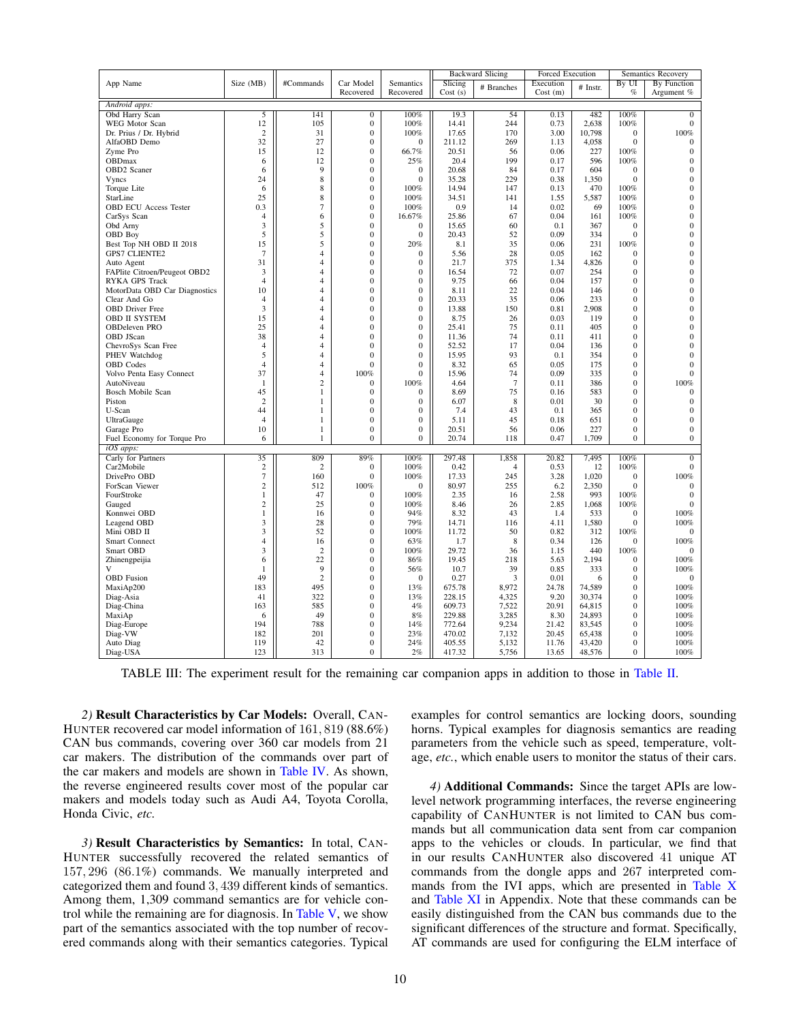<span id="page-9-0"></span>

|                               |                |                |                                  |                  |                  | <b>Backward Slicing</b> | <b>Forced Execution</b> |                  |                                  | Semantics Recovery |
|-------------------------------|----------------|----------------|----------------------------------|------------------|------------------|-------------------------|-------------------------|------------------|----------------------------------|--------------------|
| App Name                      | Size (MB)      | #Commands      | Car Model                        | Semantics        | Slicing          | # Branches              | Execution               | # Instr.         | By UI                            | By Function        |
|                               |                |                | Recovered                        | Recovered        | Cost(s)          |                         | Cost(m)                 |                  | $\%$                             | Argument %         |
| Android apps:                 |                |                |                                  |                  |                  |                         |                         |                  |                                  |                    |
| Obd Harry Scan                | 5              | 141            | $\bf{0}$                         | 100%             | 19.3             | 54                      | 0.13                    | 482              | 100%                             | $\overline{0}$     |
| WEG Motor Scan                | 12             | 105            | $\boldsymbol{0}$                 | 100%             | 14.41            | 244                     | 0.73                    | 2,638            | 100%                             | $\boldsymbol{0}$   |
| Dr. Prius / Dr. Hybrid        | $\overline{c}$ | 31             | $\mathbf{0}$                     | 100%             | 17.65            | 170                     | 3.00                    | 10,798           | $\overline{0}$                   | 100%               |
| AlfaOBD Demo                  | 32             | 27             | $\mathbf{0}$                     | $\mathbf{0}$     | 211.12           | 269                     | 1.13                    | 4,058            | $\mathbf{0}$                     | $\mathbf{0}$       |
| Zyme Pro                      | 15             | 12             | $\boldsymbol{0}$                 | 66.7%            | 20.51            | 56                      | 0.06                    | 227              | 100%                             | $\boldsymbol{0}$   |
| <b>OBDmax</b>                 | 6              | 12             | $\mathbf{0}$                     | 25%              | 20.4             | 199                     | 0.17                    | 596              | 100%                             | $\mathbf{0}$       |
| OBD2 Scaner                   | 6              | 9              | $\boldsymbol{0}$                 | $\mathbf{0}$     | 20.68            | 84                      | 0.17                    | 604              | $\mathbf{0}$                     | $\boldsymbol{0}$   |
| Vyncs                         | 24             | 8              | $\mathbf{0}$                     | $\mathbf{0}$     | 35.28            | 229                     | 0.38                    | 1,350            | $\mathbf{0}$                     | $\mathbf{0}$       |
| Torque Lite                   | 6              | 8              | $\mathbf{0}$                     | 100%             | 14.94            | 147                     | 0.13                    | 470              | 100%                             | $\mathbf{0}$       |
| StarLine                      | 25             | 8              | $\mathbf{0}$                     | 100%             | 34.51            | 141                     | 1.55                    | 5,587            | 100%                             | $\mathbf{0}$       |
| <b>OBD ECU Access Tester</b>  | 0.3            | $\overline{7}$ | $\bf{0}$                         | 100%             | 0.9              | 14                      | 0.02                    | 69               | 100%                             | $\boldsymbol{0}$   |
| CarSys Scan                   | $\overline{4}$ | 6              | $\boldsymbol{0}$                 | 16.67%           | 25.86            | 67                      | 0.04                    | 161              | 100%                             | $\boldsymbol{0}$   |
| Obd Arny                      | 3              | 5              | $\mathbf{0}$                     | $\mathbf{0}$     | 15.65            | 60                      | 0.1                     | 367              | $\overline{0}$                   | $\boldsymbol{0}$   |
| OBD Boy                       | 5              | 5              | $\boldsymbol{0}$                 | $\mathbf{0}$     | 20.43            | 52                      | 0.09                    | 334              | $\boldsymbol{0}$                 | $\boldsymbol{0}$   |
| Best Top NH OBD II 2018       | 15             | 5              | $\mathbf{0}$                     | 20%              | 8.1              | 35                      | 0.06                    | 231              | 100%                             | $\mathbf{0}$       |
| <b>GPS7 CLIENTE2</b>          | $\overline{7}$ | $\overline{4}$ | $\mathbf{0}$                     | $\mathbf{0}$     | 5.56             | 28                      | 0.05                    | 162              | $\boldsymbol{0}$                 | $\boldsymbol{0}$   |
| Auto Agent                    | 31             | $\overline{4}$ | $\mathbf{0}$                     | $\mathbf{0}$     | 21.7             | 375                     | 1.34                    | 4,826            | $\mathbf{0}$                     | $\boldsymbol{0}$   |
| FAPlite Citroen/Peugeot OBD2  | 3              | $\overline{4}$ | $\mathbf{0}$                     | $\mathbf{0}$     | 16.54            | 72                      | 0.07                    | 254              | $\boldsymbol{0}$                 | $\boldsymbol{0}$   |
| RYKA GPS Track                | $\overline{4}$ | $\overline{4}$ | $\mathbf{0}$                     | $\mathbf{0}$     | 9.75             | 66                      | 0.04                    | 157              | $\mathbf{0}$                     | $\mathbf{0}$       |
| MotorData OBD Car Diagnostics | 10             | $\overline{4}$ | $\mathbf{0}$                     | $\mathbf{0}$     | 8.11             | 22                      | 0.04                    | 146              | $\mathbf{0}$                     | $\mathbf{0}$       |
| Clear And Go                  | $\overline{4}$ | $\overline{4}$ | $\mathbf{0}$                     | $\mathbf{0}$     | 20.33            | 35                      | 0.06                    | 233              | $\mathbf{0}$                     | $\mathbf{0}$       |
| <b>OBD</b> Driver Free        | 3              | $\overline{4}$ | $\mathbf{0}$                     | $\mathbf{0}$     | 13.88            | 150                     | 0.81                    | 2,908            | $\mathbf{0}$                     | $\boldsymbol{0}$   |
| <b>OBD II SYSTEM</b>          | 15             | $\overline{4}$ | $\mathbf{0}$                     | $\overline{0}$   | 8.75             | 26                      | 0.03                    | 119              | $\mathbf{0}$                     | $\mathbf{0}$       |
| <b>OBDeleven PRO</b>          | 25             | $\overline{4}$ | $\boldsymbol{0}$                 | $\boldsymbol{0}$ | 25.41            | 75                      | 0.11                    | 405              | $\boldsymbol{0}$                 | $\boldsymbol{0}$   |
| OBD JScan                     | 38             | $\overline{4}$ | $\mathbf{0}$                     | $\boldsymbol{0}$ | 11.36            | 74                      | 0.11                    | 411              | $\boldsymbol{0}$                 | $\boldsymbol{0}$   |
| ChevroSys Scan Free           | $\overline{4}$ | $\overline{4}$ | $\mathbf{0}$                     | $\mathbf{0}$     | 52.52            | 17                      | 0.04                    | 136              | $\mathbf{0}$                     | $\mathbf{0}$       |
| PHEV Watchdog                 | 5              | $\overline{4}$ | $\boldsymbol{0}$                 | $\boldsymbol{0}$ | 15.95            | 93                      | 0.1                     | 354              | $\boldsymbol{0}$                 | $\boldsymbol{0}$   |
| <b>OBD</b> Codes              | $\overline{4}$ | $\overline{4}$ | $\mathbf{0}$                     | $\mathbf{0}$     | 8.32             | 65                      | 0.05                    | 175              | $\mathbf{0}$                     | $\mathbf{0}$       |
| Volvo Penta Easy Connect      | 37             | $\overline{4}$ | 100%                             | $\mathbf{0}$     | 15.96            | 74                      | 0.09                    | 335              | $\boldsymbol{0}$                 | $\boldsymbol{0}$   |
| AutoNiveau                    | 1              | $\overline{2}$ | $\mathbf{0}$                     | 100%             | 4.64             | $\overline{7}$          | 0.11                    | 386              | $\boldsymbol{0}$                 | 100%               |
| Bosch Mobile Scan             | 45             | $\mathbf{1}$   | $\mathbf{0}$                     | $\mathbf{0}$     | 8.69             | 75                      | 0.16                    | 583              | $\mathbf{0}$                     | $\mathbf{0}$       |
| Piston                        | $\overline{2}$ | $\mathbf{1}$   | $\mathbf{0}$                     | $\mathbf{0}$     | 6.07             | 8                       | 0.01                    | 30               | $\mathbf{0}$                     | $\mathbf{0}$       |
| U-Scan                        | 44             | 1              | $\boldsymbol{0}$                 | $\boldsymbol{0}$ | 7.4              | 43                      | 0.1                     | 365              | $\boldsymbol{0}$                 | $\boldsymbol{0}$   |
| UltraGauge                    | $\overline{4}$ | 1              | $\Omega$                         | $\mathbf{0}$     | 5.11             | 45                      | 0.18                    | 651              | $\theta$                         | $\mathbf{0}$       |
| Garage Pro                    | 10             | $\mathbf{1}$   | $\mathbf{0}$                     | $\mathbf{0}$     | 20.51            | 56                      | 0.06                    | 227              | $\mathbf{0}$                     | $\mathbf{0}$       |
| Fuel Economy for Torque Pro   | 6              | 1              | $\boldsymbol{0}$                 | $\boldsymbol{0}$ | 20.74            | 118                     | 0.47                    | 1,709            | $\boldsymbol{0}$                 | $\boldsymbol{0}$   |
| iOS apps:                     |                |                |                                  |                  |                  |                         |                         |                  |                                  |                    |
| Carly for Partners            | 35             | 809            | 89%                              | 100%             | 297.48           | 1,858                   | 20.82                   | 7,495            | 100%                             | $\overline{0}$     |
| Car2Mobile                    | $\overline{2}$ | 2              | $\mathbf{0}$                     | 100%             | 0.42             | $\overline{4}$          | 0.53                    | 12               | 100%                             | $\mathbf{0}$       |
| DrivePro OBD                  | $\tau$         | 160            | $\boldsymbol{0}$                 | 100%             | 17.33            | 245                     | 3.28                    | 1,020            | $\boldsymbol{0}$                 | 100%               |
| ForScan Viewer                | $\mathbf{2}$   | 512            | 100%                             | $\mathbf{0}$     | 80.97            | 255                     | 6.2                     | 2,350            | $\mathbf{0}$                     | $\mathbf{0}$       |
| FourStroke                    | $\mathbf{1}$   | 47             | $\theta$                         | 100%             | 2.35             | 16                      | 2.58                    | 993              | 100%                             | $\boldsymbol{0}$   |
| Gauged                        | $\overline{c}$ | 25             | $\mathbf{0}$                     | 100%             | 8.46             | 26                      | 2.85                    | 1,068            | 100%                             | $\mathbf{0}$       |
| Konnwei OBD                   | 1              | 16             | $\mathbf{0}$                     | 94%              | 8.32             | 43                      | 1.4                     | 533              | $\mathbf{0}$                     | 100%               |
| Leagend OBD                   | 3              | 28             | $\mathbf{0}$                     | 79%              | 14.71            | 116                     | 4.11                    | 1,580            | $\mathbf{0}$                     | 100%               |
| Mini OBD II                   | 3              | 52             | $\mathbf{0}$                     | 100%             | 11.72            | 50                      | 0.82                    | 312              | 100%                             | $\mathbf{0}$       |
| Smart Connect                 | $\overline{4}$ | 16             | $\boldsymbol{0}$                 | 63%              | 1.7              | 8                       | 0.34                    | 126              | $\boldsymbol{0}$                 | 100%               |
| Smart OBD                     | 3              | $\overline{c}$ | $\boldsymbol{0}$                 | 100%             | 29.72            | 36                      | 1.15                    | 440              | 100%                             | $\mathbf{0}$       |
| Zhinengpeijia                 | 6              | 22             | $\mathbf{0}$                     | 86%              | 19.45            | 218                     | 5.63                    | 2,194            | $\boldsymbol{0}$                 | 100%               |
| V                             | 1              | 9              | $\mathbf{0}$                     | 56%              | 10.7             | 39                      | 0.85                    | 333              | $\mathbf{0}$                     | 100%               |
| <b>OBD</b> Fusion             | 49             | $\overline{2}$ | $\boldsymbol{0}$                 | $\mathbf{0}$     | 0.27             | 3                       | 0.01                    | 6                | $\boldsymbol{0}$                 | $\boldsymbol{0}$   |
| MaxiAp200                     | 183            | 495            | $\Omega$                         | 13%              | 675.78           | 8,972                   | 24.78                   | 74,589           | $\mathbf{0}$                     | 100%               |
| Diag-Asia                     | 41             | 322            | $\mathbf{0}$                     | 13%              | 228.15           | 4,325                   | 9.20                    | 30,374           | $\boldsymbol{0}$                 | 100%               |
| Diag-China                    | 163            | 585            | $\mathbf{0}$                     | 4%               | 609.73           | 7,522                   | 20.91                   | 64,815           | $\boldsymbol{0}$                 | 100%               |
| MaxiAp                        | 6<br>194       | 49<br>788      | $\mathbf{0}$<br>$\mathbf{0}$     | 8%               | 229.88           | 3,285                   | 8.30                    | 24,893           | $\mathbf{0}$<br>$\mathbf{0}$     | 100%               |
| Diag-Europe                   |                |                |                                  | 14%              | 772.64           | 9,234                   | 21.42                   | 83,545           |                                  | 100%               |
| Diag-VW                       | 182<br>119     | 201<br>42      | $\boldsymbol{0}$<br>$\mathbf{0}$ | 23%<br>24%       | 470.02<br>405.55 | 7,132                   | 20.45                   | 65,438           | $\boldsymbol{0}$<br>$\mathbf{0}$ | 100%<br>100%       |
| Auto Diag<br>Diag-USA         | 123            | 313            | $\mathbf{0}$                     | 2%               | 417.32           | 5,132<br>5,756          | 11.76<br>13.65          | 43,420<br>48,576 | $\mathbf{0}$                     | 100%               |
|                               |                |                |                                  |                  |                  |                         |                         |                  |                                  |                    |

TABLE III: The experiment result for the remaining car companion apps in addition to those in [Table II.](#page-8-0)

*2)* Result Characteristics by Car Models: Overall, CAN-HUNTER recovered car model information of 161, 819 (88.6%) CAN bus commands, covering over 360 car models from 21 car makers. The distribution of the commands over part of the car makers and models are shown in [Table IV.](#page-10-0) As shown, the reverse engineered results cover most of the popular car makers and models today such as Audi A4, Toyota Corolla, Honda Civic, *etc.*

*3)* Result Characteristics by Semantics: In total, CAN-HUNTER successfully recovered the related semantics of 157, 296 (86.1%) commands. We manually interpreted and categorized them and found 3, 439 different kinds of semantics. Among them, 1,309 command semantics are for vehicle control while the remaining are for diagnosis. In [Table V,](#page-10-1) we show part of the semantics associated with the top number of recovered commands along with their semantics categories. Typical examples for control semantics are locking doors, sounding horns. Typical examples for diagnosis semantics are reading parameters from the vehicle such as speed, temperature, voltage, *etc.*, which enable users to monitor the status of their cars.

<span id="page-9-1"></span>*4)* Additional Commands: Since the target APIs are lowlevel network programming interfaces, the reverse engineering capability of CANHUNTER is not limited to CAN bus commands but all communication data sent from car companion apps to the vehicles or clouds. In particular, we find that in our results CANHUNTER also discovered 41 unique AT commands from the dongle apps and 267 interpreted commands from the IVI apps, which are presented in [Table X](#page-15-16) and [Table XI](#page-16-0) in Appendix. Note that these commands can be easily distinguished from the CAN bus commands due to the significant differences of the structure and format. Specifically, AT commands are used for configuring the ELM interface of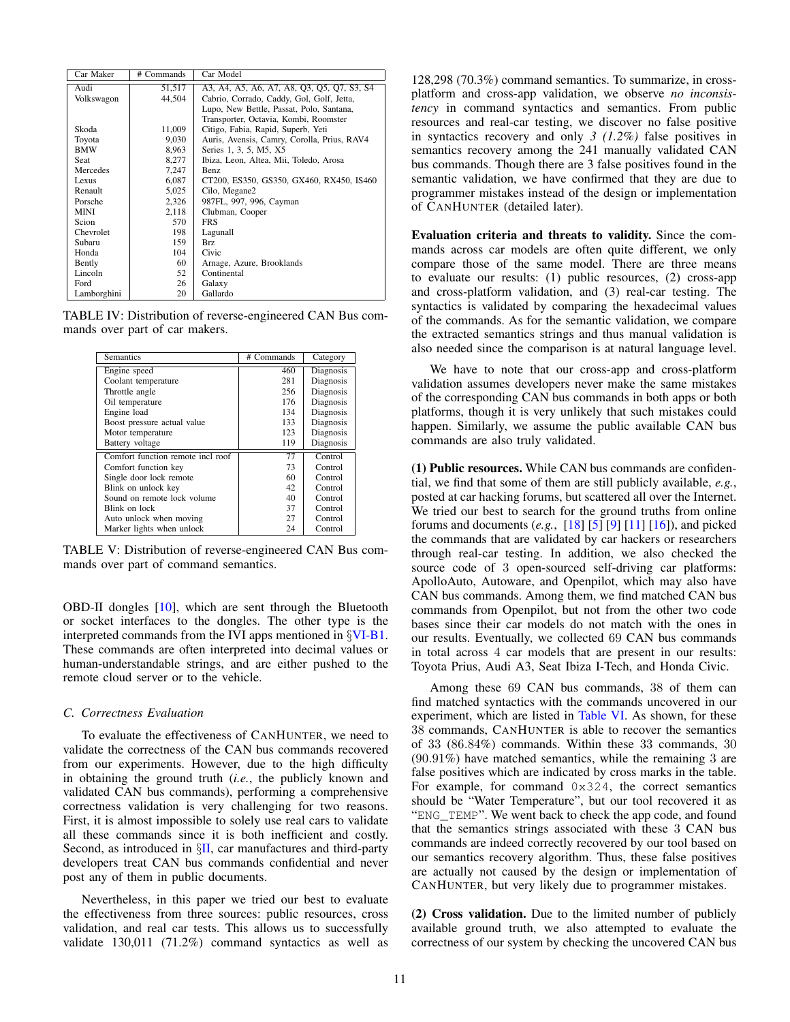<span id="page-10-0"></span>

| Car Maker   | # Commands | Car Model                                   |
|-------------|------------|---------------------------------------------|
| Audi        | 51,517     | A3, A4, A5, A6, A7, A8, Q3, Q5, Q7, S3, S4  |
| Volkswagon  | 44.504     | Cabrio, Corrado, Caddy, Gol, Golf, Jetta,   |
|             |            | Lupo, New Bettle, Passat, Polo, Santana,    |
|             |            | Transporter, Octavia, Kombi, Roomster       |
| Skoda       | 11,009     | Citigo, Fabia, Rapid, Superb, Yeti          |
| Toyota      | 9,030      | Auris, Avensis, Camry, Corolla, Prius, RAV4 |
| <b>BMW</b>  | 8,963      | Series 1, 3, 5, M5, X5                      |
| Seat        | 8,277      | Ibiza, Leon, Altea, Mii, Toledo, Arosa      |
| Mercedes    | 7.247      | Benz                                        |
| Lexus       | 6,087      | CT200, ES350, GS350, GX460, RX450, IS460    |
| Renault     | 5,025      | Cilo, Megane2                               |
| Porsche     | 2,326      | 987FL, 997, 996, Cayman                     |
| MINI        | 2,118      | Clubman, Cooper                             |
| Scion       | 570        | <b>FRS</b>                                  |
| Chevrolet   | 198        | Lagunall                                    |
| Subaru      | 159        | Brz                                         |
| Honda       | 104        | Civic                                       |
| Bently      | 60         | Arnage, Azure, Brooklands                   |
| Lincoln     | 52         | Continental                                 |
| Ford        | 26         | Galaxy                                      |
| Lamborghini | 20         | Gallardo                                    |

TABLE IV: Distribution of reverse-engineered CAN Bus commands over part of car makers.

<span id="page-10-1"></span>

| <b>Semantics</b>                  | # Commands | Category  |
|-----------------------------------|------------|-----------|
| Engine speed                      | 460        | Diagnosis |
| Coolant temperature               | 281        | Diagnosis |
| Throttle angle                    | 256        | Diagnosis |
| Oil temperature                   | 176        | Diagnosis |
| Engine load                       | 134        | Diagnosis |
| Boost pressure actual value       | 133        | Diagnosis |
| Motor temperature                 | 123        | Diagnosis |
| Battery voltage                   | 119        | Diagnosis |
| Comfort function remote incl roof | 77         | Control   |
| Comfort function key              | 73         | Control   |
| Single door lock remote           | 60         | Control   |
| Blink on unlock key               | 42         | Control   |
| Sound on remote lock volume       | 40         | Control   |
| Blink on lock                     | 37         | Control   |
| Auto unlock when moving           | 27         | Control   |
| Marker lights when unlock         | 24         | Control   |

TABLE V: Distribution of reverse-engineered CAN Bus commands over part of command semantics.

OBD-II dongles [\[10\]](#page-14-31), which are sent through the Bluetooth or socket interfaces to the dongles. The other type is the interpreted commands from the IVI apps mentioned in §[VI-B1.](#page-8-1) These commands are often interpreted into decimal values or human-understandable strings, and are either pushed to the remote cloud server or to the vehicle.

## <span id="page-10-2"></span>*C. Correctness Evaluation*

To evaluate the effectiveness of CANHUNTER, we need to validate the correctness of the CAN bus commands recovered from our experiments. However, due to the high difficulty in obtaining the ground truth (*i.e.*, the publicly known and validated CAN bus commands), performing a comprehensive correctness validation is very challenging for two reasons. First, it is almost impossible to solely use real cars to validate all these commands since it is both inefficient and costly. Second, as introduced in  $\S$ [II,](#page-1-0) car manufactures and third-party developers treat CAN bus commands confidential and never post any of them in public documents.

Nevertheless, in this paper we tried our best to evaluate the effectiveness from three sources: public resources, cross validation, and real car tests. This allows us to successfully validate 130,011 (71.2%) command syntactics as well as 128,298 (70.3%) command semantics. To summarize, in crossplatform and cross-app validation, we observe *no inconsistency* in command syntactics and semantics. From public resources and real-car testing, we discover no false positive in syntactics recovery and only *3 (1.2%)* false positives in semantics recovery among the 241 manually validated CAN bus commands. Though there are 3 false positives found in the semantic validation, we have confirmed that they are due to programmer mistakes instead of the design or implementation of CANHUNTER (detailed later).

Evaluation criteria and threats to validity. Since the commands across car models are often quite different, we only compare those of the same model. There are three means to evaluate our results: (1) public resources, (2) cross-app and cross-platform validation, and (3) real-car testing. The syntactics is validated by comparing the hexadecimal values of the commands. As for the semantic validation, we compare the extracted semantics strings and thus manual validation is also needed since the comparison is at natural language level.

We have to note that our cross-app and cross-platform validation assumes developers never make the same mistakes of the corresponding CAN bus commands in both apps or both platforms, though it is very unlikely that such mistakes could happen. Similarly, we assume the public available CAN bus commands are also truly validated.

(1) Public resources. While CAN bus commands are confidential, we find that some of them are still publicly available, *e.g.*, posted at car hacking forums, but scattered all over the Internet. We tried our best to search for the ground truths from online forums and documents (*e.g.*, [\[18\]](#page-14-32) [\[5\]](#page-14-33) [\[9\]](#page-14-34) [\[11\]](#page-14-35) [\[16\]](#page-14-19)), and picked the commands that are validated by car hackers or researchers through real-car testing. In addition, we also checked the source code of 3 open-sourced self-driving car platforms: ApolloAuto, Autoware, and Openpilot, which may also have CAN bus commands. Among them, we find matched CAN bus commands from Openpilot, but not from the other two code bases since their car models do not match with the ones in our results. Eventually, we collected 69 CAN bus commands in total across 4 car models that are present in our results: Toyota Prius, Audi A3, Seat Ibiza I-Tech, and Honda Civic.

Among these 69 CAN bus commands, 38 of them can find matched syntactics with the commands uncovered in our experiment, which are listed in [Table VI.](#page-11-0) As shown, for these 38 commands, CANHUNTER is able to recover the semantics of 33 (86.84%) commands. Within these 33 commands, 30 (90.91%) have matched semantics, while the remaining 3 are false positives which are indicated by cross marks in the table. For example, for command 0x324, the correct semantics should be "Water Temperature", but our tool recovered it as "ENG\_TEMP". We went back to check the app code, and found that the semantics strings associated with these 3 CAN bus commands are indeed correctly recovered by our tool based on our semantics recovery algorithm. Thus, these false positives are actually not caused by the design or implementation of CANHUNTER, but very likely due to programmer mistakes.

(2) Cross validation. Due to the limited number of publicly available ground truth, we also attempted to evaluate the correctness of our system by checking the uncovered CAN bus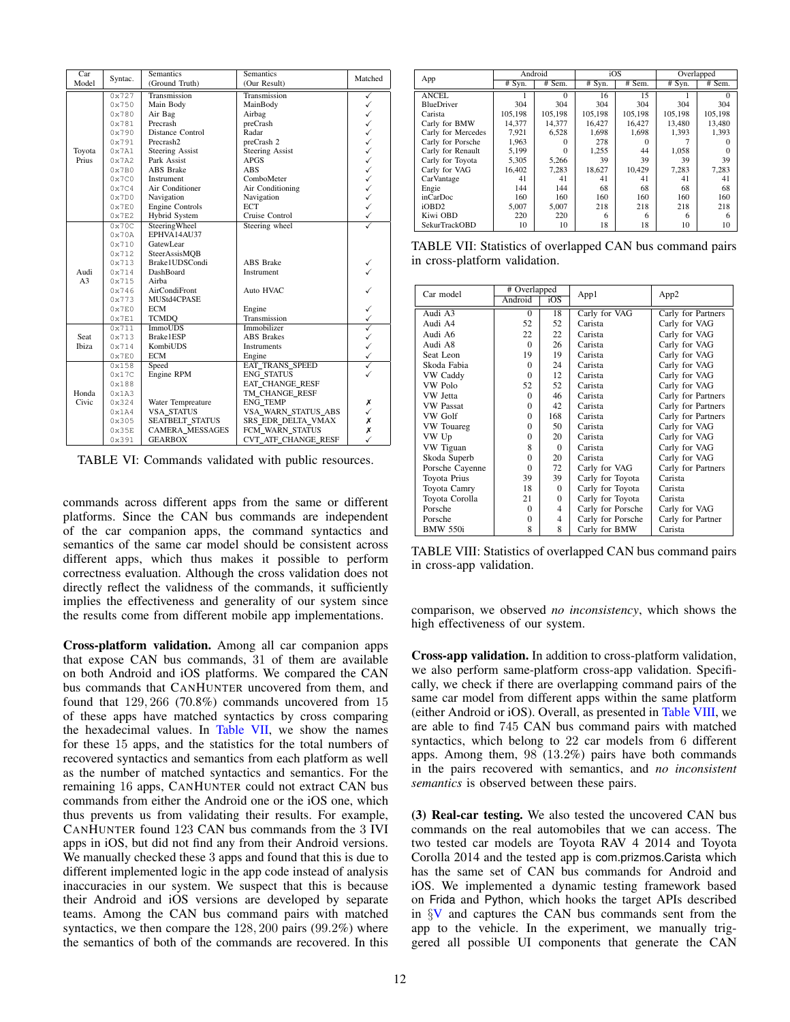<span id="page-11-0"></span>

| Car            | Syntac.        | <b>Semantics</b>       | Semantics              | Matched      |
|----------------|----------------|------------------------|------------------------|--------------|
| Model          |                | (Ground Truth)         | (Our Result)           |              |
|                | 0x727          | Transmission           | Transmission           | ✓            |
|                | 0x750          | Main Body              | MainBody               | ✓            |
|                | 0x780          | Air Bag                | Airbag                 | ✓            |
|                | 0x781          | Precrash               | preCrash               | ✓            |
|                | 0x790          | Distance Control       | Radar                  | ✓            |
|                | 0x791          | Precrash <sub>2</sub>  | preCrash 2             | ✓            |
| Toyota         | 0x7A1          | <b>Steering Assist</b> | <b>Steering Assist</b> | $\checkmark$ |
| Prius          | 0x7A2          | Park Assist            | <b>APGS</b>            | $\checkmark$ |
|                | 0x7B0          | <b>ABS</b> Brake       | <b>ABS</b>             | $\checkmark$ |
|                | 0x7C0          | Instrument             | ComboMeter             |              |
|                | 0x7C4          | Air Conditioner        | Air Conditioning       | $\checkmark$ |
|                | 0x7D0          | Navigation             | Navigation             |              |
|                | $0 \times 7E0$ | Engine Controls        | <b>ECT</b>             | $\checkmark$ |
|                | 0x7E2          | Hybrid System          | Cruise Control         | $\checkmark$ |
|                | 0x70C          | SteeringWheel          | Steering wheel         |              |
|                | 0x70A          | EPHVA14AU37            |                        |              |
|                | 0x710          | GatewLear              |                        |              |
|                | 0x712          | SteerAssisMOB          |                        |              |
|                | $0 \times 713$ | Brake1UDSCondi         | <b>ABS</b> Brake       |              |
| Audi           | 0x714          | DashBoard              | Instrument             |              |
| A <sub>3</sub> | 0x715          | Airba                  |                        |              |
|                | 0x746          | AirCondiFront          | Auto HVAC              |              |
|                | 0x773          | MUStd4CPASE            |                        |              |
|                | $0 \times 7E0$ | <b>ECM</b>             | Engine                 |              |
|                | $0 \times 7E1$ | <b>TCMDO</b>           | Transmission           |              |
|                | $0 \times 711$ | <b>ImmoUDS</b>         | Immobilizer            |              |
| Seat           | 0x713          | Brake1ESP              | <b>ABS Brakes</b>      |              |
| Ibiza          | 0x714          | KombiUDS               | Instruments            |              |
|                | $0 \times 7E0$ | <b>ECM</b>             | Engine                 | $\checkmark$ |
|                | 0x158          | Speed                  | <b>EAT TRANS SPEED</b> | ✓            |
|                | 0x17C          | Engine RPM             | <b>ENG STATUS</b>      |              |
|                | 0x188          |                        | EAT CHANGE RESF        |              |
| Honda          | 0x1A3          |                        | TM_CHANGE_RESF         |              |
| Civic          | 0x324          | Water Tempreature      | <b>ENG TEMP</b>        | Х            |
|                | 0x1A4          | <b>VSA_STATUS</b>      | VSA_WARN_STATUS_ABS    | ✓            |
|                | 0x305          | SEATBELT_STATUS        | SRS_EDR_DELTA_VMAX     | Х            |
|                | 0x35E          | <b>CAMERA MESSAGES</b> | FCM_WARN_STATUS        | Х            |
|                | 0x391          | <b>GEARBOX</b>         | CVT_ATF_CHANGE_RESF    | ✓            |

TABLE VI: Commands validated with public resources.

commands across different apps from the same or different platforms. Since the CAN bus commands are independent of the car companion apps, the command syntactics and semantics of the same car model should be consistent across different apps, which thus makes it possible to perform correctness evaluation. Although the cross validation does not directly reflect the validness of the commands, it sufficiently implies the effectiveness and generality of our system since the results come from different mobile app implementations.

Cross-platform validation. Among all car companion apps that expose CAN bus commands, 31 of them are available on both Android and iOS platforms. We compared the CAN bus commands that CANHUNTER uncovered from them, and found that 129, 266 (70.8%) commands uncovered from 15 of these apps have matched syntactics by cross comparing the hexadecimal values. In [Table VII,](#page-11-1) we show the names for these 15 apps, and the statistics for the total numbers of recovered syntactics and semantics from each platform as well as the number of matched syntactics and semantics. For the remaining 16 apps, CANHUNTER could not extract CAN bus commands from either the Android one or the iOS one, which thus prevents us from validating their results. For example, CANHUNTER found 123 CAN bus commands from the 3 IVI apps in iOS, but did not find any from their Android versions. We manually checked these 3 apps and found that this is due to different implemented logic in the app code instead of analysis inaccuracies in our system. We suspect that this is because their Android and iOS versions are developed by separate teams. Among the CAN bus command pairs with matched syntactics, we then compare the 128, 200 pairs (99.2%) where the semantics of both of the commands are recovered. In this

<span id="page-11-1"></span>

|                      | Android  |          | iOS      |          | Overlapped |          |
|----------------------|----------|----------|----------|----------|------------|----------|
| App                  | $#$ Syn. | # Sem.   | $#$ Syn. | # Sem.   | $#$ Svn.   | # Sem.   |
| <b>ANCEL</b>         |          | $\Omega$ | 16       | 15       |            | $\Omega$ |
| <b>BlueDriver</b>    | 304      | 304      | 304      | 304      | 304        | 304      |
| Carista              | 105.198  | 105,198  | 105,198  | 105,198  | 105,198    | 105,198  |
| Carly for BMW        | 14.377   | 14.377   | 16.427   | 16.427   | 13.480     | 13.480   |
| Carly for Mercedes   | 7.921    | 6,528    | 1.698    | 1.698    | 1.393      | 1.393    |
| Carly for Porsche    | 1.963    | 0        | 278      | $\Omega$ |            |          |
| Carly for Renault    | 5,199    | $\Omega$ | 1.255    | 44       | 1,058      | $\Omega$ |
| Carly for Toyota     | 5.305    | 5,266    | 39       | 39       | 39         | 39       |
| Carly for VAG        | 16.402   | 7.283    | 18.627   | 10,429   | 7.283      | 7.283    |
| CarVantage           | 41       | 41       | 41       | 41       | 41         | 41       |
| Engie                | 144      | 144      | 68       | 68       | 68         | 68       |
| inCarDoc             | 160      | 160      | 160      | 160      | 160        | 160      |
| iOBD <sub>2</sub>    | 5.007    | 5.007    | 218      | 218      | 218        | 218      |
| Kiwi OBD             | 220      | 220      | 6        | 6        | 6          | 6        |
| <b>SekurTrackOBD</b> | 10       | 10       | 18       | 18       | 10         | 10       |

TABLE VII: Statistics of overlapped CAN bus command pairs in cross-platform validation.

<span id="page-11-2"></span>

| Car model        | # Overlapped |          | App1              | App2               |  |
|------------------|--------------|----------|-------------------|--------------------|--|
|                  | Android      | iOS      |                   |                    |  |
| Audi A3          | $\Omega$     | 18       | Carly for VAG     | Carly for Partners |  |
| Audi A4          | 52           | 52       | Carista           | Carly for VAG      |  |
| Audi A6          | 22           | 22       | Carista           | Carly for VAG      |  |
| Audi A8          | $\Omega$     | 26       | Carista           | Carly for VAG      |  |
| Seat Leon        | 19           | 19       | Carista           | Carly for VAG      |  |
| Skoda Fabia      | $\Omega$     | 24       | Carista           | Carly for VAG      |  |
| VW Caddy         | $\Omega$     | 12       | Carista           | Carly for VAG      |  |
| VW Polo          | 52           | 52       | Carista           | Carly for VAG      |  |
| VW Jetta         | $\Omega$     | 46       | Carista           | Carly for Partners |  |
| <b>VW Passat</b> | $\Omega$     | 42       | Carista           | Carly for Partners |  |
| VW Golf          | $\Omega$     | 168      | Carista           | Carly for Partners |  |
| VW Touareg       | $\Omega$     | 50       | Carista           | Carly for VAG      |  |
| VW Up            | $\Omega$     | 20       | Carista           | Carly for VAG      |  |
| VW Tiguan        | 8            | $\Omega$ | Carista           | Carly for VAG      |  |
| Skoda Superb     | $\theta$     | 20       | Carista           | Carly for VAG      |  |
| Porsche Cayenne  | $\theta$     | 72       | Carly for VAG     | Carly for Partners |  |
| Toyota Prius     | 39           | 39       | Carly for Toyota  | Carista            |  |
| Toyota Camry     | 18           | $\Omega$ | Carly for Toyota  | Carista            |  |
| Toyota Corolla   | 21           | $\Omega$ | Carly for Toyota  | Carista            |  |
| Porsche          | $\Omega$     | 4        | Carly for Porsche | Carly for VAG      |  |
| Porsche          | $\Omega$     | 4        | Carly for Porsche | Carly for Partner  |  |
| <b>BMW 550i</b>  | 8            | 8        | Carly for BMW     | Carista            |  |

TABLE VIII: Statistics of overlapped CAN bus command pairs in cross-app validation.

comparison, we observed *no inconsistency*, which shows the high effectiveness of our system.

Cross-app validation. In addition to cross-platform validation, we also perform same-platform cross-app validation. Specifically, we check if there are overlapping command pairs of the same car model from different apps within the same platform (either Android or iOS). Overall, as presented in [Table VIII,](#page-11-2) we are able to find 745 CAN bus command pairs with matched syntactics, which belong to 22 car models from 6 different apps. Among them, 98 (13.2%) pairs have both commands in the pairs recovered with semantics, and *no inconsistent semantics* is observed between these pairs.

(3) Real-car testing. We also tested the uncovered CAN bus commands on the real automobiles that we can access. The two tested car models are Toyota RAV 4 2014 and Toyota Corolla 2014 and the tested app is com.prizmos.Carista which has the same set of CAN bus commands for Android and iOS. We implemented a dynamic testing framework based on Frida and Python, which hooks the target APIs described in §[V](#page-6-0) and captures the CAN bus commands sent from the app to the vehicle. In the experiment, we manually triggered all possible UI components that generate the CAN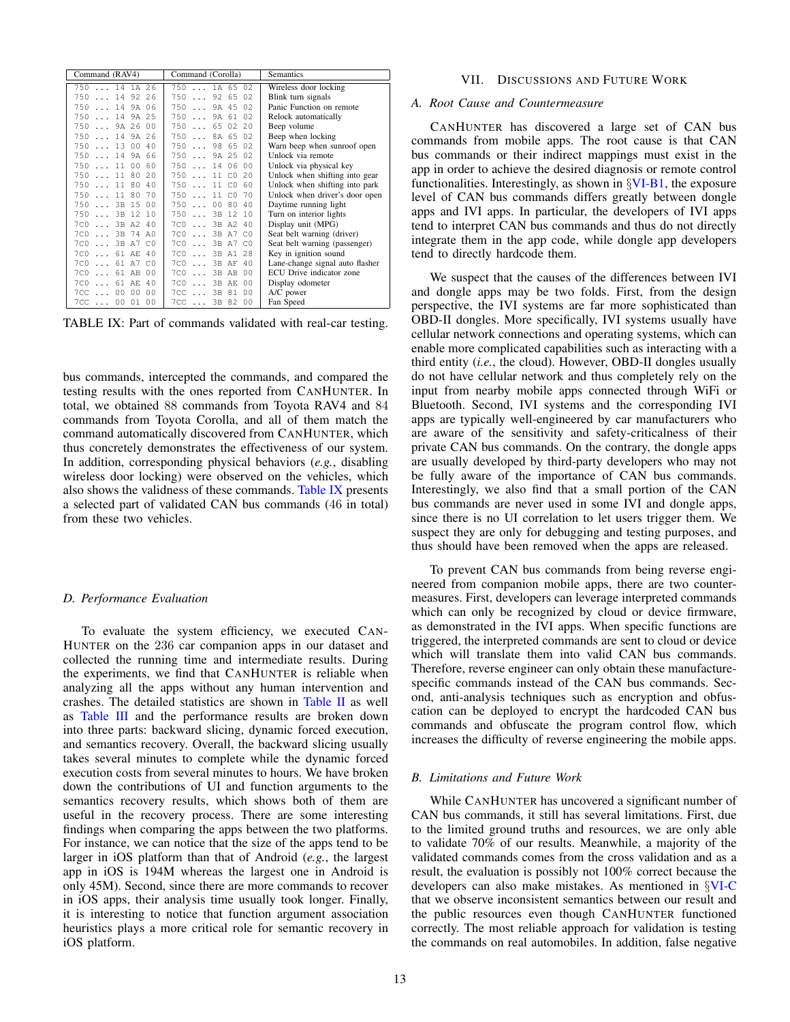<span id="page-12-1"></span>

| Command (RAV4)                            | <b>Semantics</b>                 |                                 |
|-------------------------------------------|----------------------------------|---------------------------------|
| 750  14 1A 26                             | 7501A6502                        | Wireless door locking           |
| $\ldots$ 14 92 26<br>750                  | 7509265<br>02                    | Blink turn signals              |
| 750  14 9A 06                             | 7509A45<br>02                    | Panic Function on remote        |
| 750<br>$\ldots$ 14 9A 25                  | 7509A61<br>02                    | Relock automatically            |
| 7509A26<br>00                             | 750650220                        | Beep volume                     |
| 750  14 9A 26                             | 7508A65<br>02                    | Beep when locking               |
| 7501300<br>40                             | 750<br>98 65 02                  | Warn beep when sunroof open     |
| 750  14 9A 66                             | 7509A25<br>02                    | Unlock via remote               |
| 75011<br>00 <sup>o</sup><br>60            | $750$<br>00<br>14 06             | Unlock via physical key         |
| 7501180<br>2.0                            | $750$<br>11 C0<br>2.0            | Unlock when shifting into gear  |
| $\ldots$ 11 80<br>750<br>40               | 60<br>$750$<br>11 CO             | Unlock when shifting into park  |
| 70<br>7501180                             | 70<br>750<br>$11 \quad C.0$      | Unlock when driver's door open  |
| 7503B15<br>00                             | 750<br>00 80<br>40               | Daytime running light           |
| 7503B12<br>10                             | 750<br>3B 12<br>10               | Turn on interior lights         |
| 7C0  3B A2 40                             | 3B A2 40<br>$7C0$                | Display unit (MPG)              |
| $7C0$<br>3B 74<br>A <sub>0</sub>          | 3B A7<br>C <sub>0</sub><br>$7CO$ | Seat belt warning (driver)      |
| $\ldots$ 3B A7<br>7 <sub>C</sub> 0<br>C.O | 3B A7 C0<br>$7C0$                | Seat belt warning (passenger)   |
| $7C0$<br>61 AE 40                         | $7C0$<br>2.8<br>3B A1            | Key in ignition sound           |
| 700<br>61 A7<br>C <sub>0</sub>            | 40<br>700<br>3B AF               | Lane-change signal auto flasher |
| 61 AB 00<br>$7C0$                         | 00<br>$7C0$<br>3B AB             | ECU Drive indicator zone        |
| $7C0$<br>61 AE<br>40                      | 0 <sub>0</sub><br>$7C0$<br>3B AE | Display odometer                |
| 0 <sup>0</sup><br>00 00<br>$7CC \ldots$   | 00<br>3B 81<br>$7CC \ldots$      | A/C power                       |
| $7CC$ 00 01<br>00                         | 0 <sup>0</sup><br>7CC  3B 82     | Fan Speed                       |

TABLE IX: Part of commands validated with real-car testing.

bus commands, intercepted the commands, and compared the testing results with the ones reported from CANHUNTER. In total, we obtained 88 commands from Toyota RAV4 and 84 commands from Toyota Corolla, and all of them match the command automatically discovered from CANHUNTER, which thus concretely demonstrates the effectiveness of our system. In addition, corresponding physical behaviors (*e.g.*, disabling wireless door locking) were observed on the vehicles, which also shows the validness of these commands. [Table IX](#page-12-1) presents a selected part of validated CAN bus commands (46 in total) from these two vehicles.

#### *D. Performance Evaluation*

To evaluate the system efficiency, we executed CAN-HUNTER on the 236 car companion apps in our dataset and collected the running time and intermediate results. During the experiments, we find that CANHUNTER is reliable when analyzing all the apps without any human intervention and crashes. The detailed statistics are shown in [Table II](#page-8-0) as well as [Table III](#page-9-0) and the performance results are broken down into three parts: backward slicing, dynamic forced execution, and semantics recovery. Overall, the backward slicing usually takes several minutes to complete while the dynamic forced execution costs from several minutes to hours. We have broken down the contributions of UI and function arguments to the semantics recovery results, which shows both of them are useful in the recovery process. There are some interesting findings when comparing the apps between the two platforms. For instance, we can notice that the size of the apps tend to be larger in iOS platform than that of Android (*e.g.*, the largest app in iOS is 194M whereas the largest one in Android is only 45M). Second, since there are more commands to recover in iOS apps, their analysis time usually took longer. Finally, it is interesting to notice that function argument association heuristics plays a more critical role for semantic recovery in iOS platform.

#### VII. DISCUSSIONS AND FUTURE WORK

## <span id="page-12-0"></span>*A. Root Cause and Countermeasure*

CANHUNTER has discovered a large set of CAN bus commands from mobile apps. The root cause is that CAN bus commands or their indirect mappings must exist in the app in order to achieve the desired diagnosis or remote control functionalities. Interestingly, as shown in  $\frac{\text{V}}{\text{V}}$ . the exposure level of CAN bus commands differs greatly between dongle apps and IVI apps. In particular, the developers of IVI apps tend to interpret CAN bus commands and thus do not directly integrate them in the app code, while dongle app developers tend to directly hardcode them.

We suspect that the causes of the differences between IVI and dongle apps may be two folds. First, from the design perspective, the IVI systems are far more sophisticated than OBD-II dongles. More specifically, IVI systems usually have cellular network connections and operating systems, which can enable more complicated capabilities such as interacting with a third entity (*i.e.*, the cloud). However, OBD-II dongles usually do not have cellular network and thus completely rely on the input from nearby mobile apps connected through WiFi or Bluetooth. Second, IVI systems and the corresponding IVI apps are typically well-engineered by car manufacturers who are aware of the sensitivity and safety-criticalness of their private CAN bus commands. On the contrary, the dongle apps are usually developed by third-party developers who may not be fully aware of the importance of CAN bus commands. Interestingly, we also find that a small portion of the CAN bus commands are never used in some IVI and dongle apps, since there is no UI correlation to let users trigger them. We suspect they are only for debugging and testing purposes, and thus should have been removed when the apps are released.

To prevent CAN bus commands from being reverse engineered from companion mobile apps, there are two countermeasures. First, developers can leverage interpreted commands which can only be recognized by cloud or device firmware, as demonstrated in the IVI apps. When specific functions are triggered, the interpreted commands are sent to cloud or device which will translate them into valid CAN bus commands. Therefore, reverse engineer can only obtain these manufacturespecific commands instead of the CAN bus commands. Second, anti-analysis techniques such as encryption and obfuscation can be deployed to encrypt the hardcoded CAN bus commands and obfuscate the program control flow, which increases the difficulty of reverse engineering the mobile apps.

#### *B. Limitations and Future Work*

While CANHUNTER has uncovered a significant number of CAN bus commands, it still has several limitations. First, due to the limited ground truths and resources, we are only able to validate 70% of our results. Meanwhile, a majority of the validated commands comes from the cross validation and as a result, the evaluation is possibly not 100% correct because the developers can also make mistakes. As mentioned in §[VI-C](#page-10-2) that we observe inconsistent semantics between our result and the public resources even though CANHUNTER functioned correctly. The most reliable approach for validation is testing the commands on real automobiles. In addition, false negative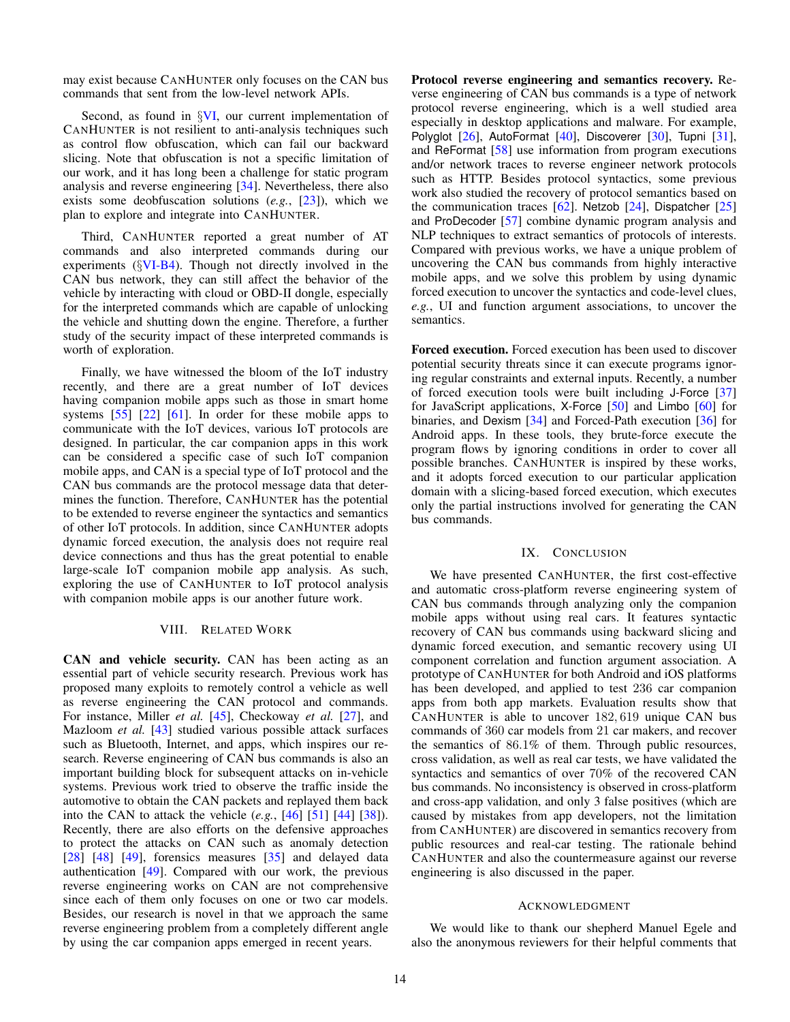may exist because CANHUNTER only focuses on the CAN bus commands that sent from the low-level network APIs.

Second, as found in  $\frac{8}{1}$ , our current implementation of CANHUNTER is not resilient to anti-analysis techniques such as control flow obfuscation, which can fail our backward slicing. Note that obfuscation is not a specific limitation of our work, and it has long been a challenge for static program analysis and reverse engineering [\[34\]](#page-14-10). Nevertheless, there also exists some deobfuscation solutions (*e.g.*, [\[23\]](#page-14-36)), which we plan to explore and integrate into CANHUNTER.

Third, CANHUNTER reported a great number of AT commands and also interpreted commands during our experiments  $(\{VI-B4)$  $(\{VI-B4)$ . Though not directly involved in the CAN bus network, they can still affect the behavior of the vehicle by interacting with cloud or OBD-II dongle, especially for the interpreted commands which are capable of unlocking the vehicle and shutting down the engine. Therefore, a further study of the security impact of these interpreted commands is worth of exploration.

Finally, we have witnessed the bloom of the IoT industry recently, and there are a great number of IoT devices having companion mobile apps such as those in smart home systems [\[55\]](#page-15-17) [\[22\]](#page-14-37) [\[61\]](#page-15-18). In order for these mobile apps to communicate with the IoT devices, various IoT protocols are designed. In particular, the car companion apps in this work can be considered a specific case of such IoT companion mobile apps, and CAN is a special type of IoT protocol and the CAN bus commands are the protocol message data that determines the function. Therefore, CANHUNTER has the potential to be extended to reverse engineer the syntactics and semantics of other IoT protocols. In addition, since CANHUNTER adopts dynamic forced execution, the analysis does not require real device connections and thus has the great potential to enable large-scale IoT companion mobile app analysis. As such, exploring the use of CANHUNTER to IoT protocol analysis with companion mobile apps is our another future work.

#### VIII. RELATED WORK

<span id="page-13-0"></span>CAN and vehicle security. CAN has been acting as an essential part of vehicle security research. Previous work has proposed many exploits to remotely control a vehicle as well as reverse engineering the CAN protocol and commands. For instance, Miller *et al.* [\[45\]](#page-15-9), Checkoway *et al.* [\[27\]](#page-14-1), and Mazloom *et al.* [\[43\]](#page-15-2) studied various possible attack surfaces such as Bluetooth, Internet, and apps, which inspires our research. Reverse engineering of CAN bus commands is also an important building block for subsequent attacks on in-vehicle systems. Previous work tried to observe the traffic inside the automotive to obtain the CAN packets and replayed them back into the CAN to attack the vehicle (*e.g.*, [\[46\]](#page-15-10) [\[51\]](#page-15-19) [\[44\]](#page-15-8) [\[38\]](#page-14-0)). Recently, there are also efforts on the defensive approaches to protect the attacks on CAN such as anomaly detection [\[28\]](#page-14-3)  $[48]$   $[49]$ , forensics measures  $[35]$  and delayed data authentication [\[49\]](#page-15-20). Compared with our work, the previous reverse engineering works on CAN are not comprehensive since each of them only focuses on one or two car models. Besides, our research is novel in that we approach the same reverse engineering problem from a completely different angle by using the car companion apps emerged in recent years.

Protocol reverse engineering and semantics recovery. Reverse engineering of CAN bus commands is a type of network protocol reverse engineering, which is a well studied area especially in desktop applications and malware. For example, Polyglot [\[26\]](#page-14-38), AutoFormat [\[40\]](#page-14-39), Discoverer [\[30\]](#page-14-40), Tupni [\[31\]](#page-14-41), and ReFormat [\[58\]](#page-15-21) use information from program executions and/or network traces to reverse engineer network protocols such as HTTP. Besides protocol syntactics, some previous work also studied the recovery of protocol semantics based on the communication traces  $[62]$ . Netzob  $[24]$ , Dispatcher  $[25]$ and ProDecoder [\[57\]](#page-15-5) combine dynamic program analysis and NLP techniques to extract semantics of protocols of interests. Compared with previous works, we have a unique problem of uncovering the CAN bus commands from highly interactive mobile apps, and we solve this problem by using dynamic forced execution to uncover the syntactics and code-level clues, *e.g.*, UI and function argument associations, to uncover the semantics.

Forced execution. Forced execution has been used to discover potential security threats since it can execute programs ignoring regular constraints and external inputs. Recently, a number of forced execution tools were built including J-Force [\[37\]](#page-14-23) for JavaScript applications, X-Force [\[50\]](#page-15-13) and Limbo [\[60\]](#page-15-4) for binaries, and Dexism [\[34\]](#page-14-10) and Forced-Path execution [\[36\]](#page-14-9) for Android apps. In these tools, they brute-force execute the program flows by ignoring conditions in order to cover all possible branches. CANHUNTER is inspired by these works, and it adopts forced execution to our particular application domain with a slicing-based forced execution, which executes only the partial instructions involved for generating the CAN bus commands.

#### IX. CONCLUSION

<span id="page-13-1"></span>We have presented CANHUNTER, the first cost-effective and automatic cross-platform reverse engineering system of CAN bus commands through analyzing only the companion mobile apps without using real cars. It features syntactic recovery of CAN bus commands using backward slicing and dynamic forced execution, and semantic recovery using UI component correlation and function argument association. A prototype of CANHUNTER for both Android and iOS platforms has been developed, and applied to test 236 car companion apps from both app markets. Evaluation results show that CANHUNTER is able to uncover 182, 619 unique CAN bus commands of 360 car models from 21 car makers, and recover the semantics of 86.1% of them. Through public resources, cross validation, as well as real car tests, we have validated the syntactics and semantics of over 70% of the recovered CAN bus commands. No inconsistency is observed in cross-platform and cross-app validation, and only 3 false positives (which are caused by mistakes from app developers, not the limitation from CANHUNTER) are discovered in semantics recovery from public resources and real-car testing. The rationale behind CANHUNTER and also the countermeasure against our reverse engineering is also discussed in the paper.

#### ACKNOWLEDGMENT

We would like to thank our shepherd Manuel Egele and also the anonymous reviewers for their helpful comments that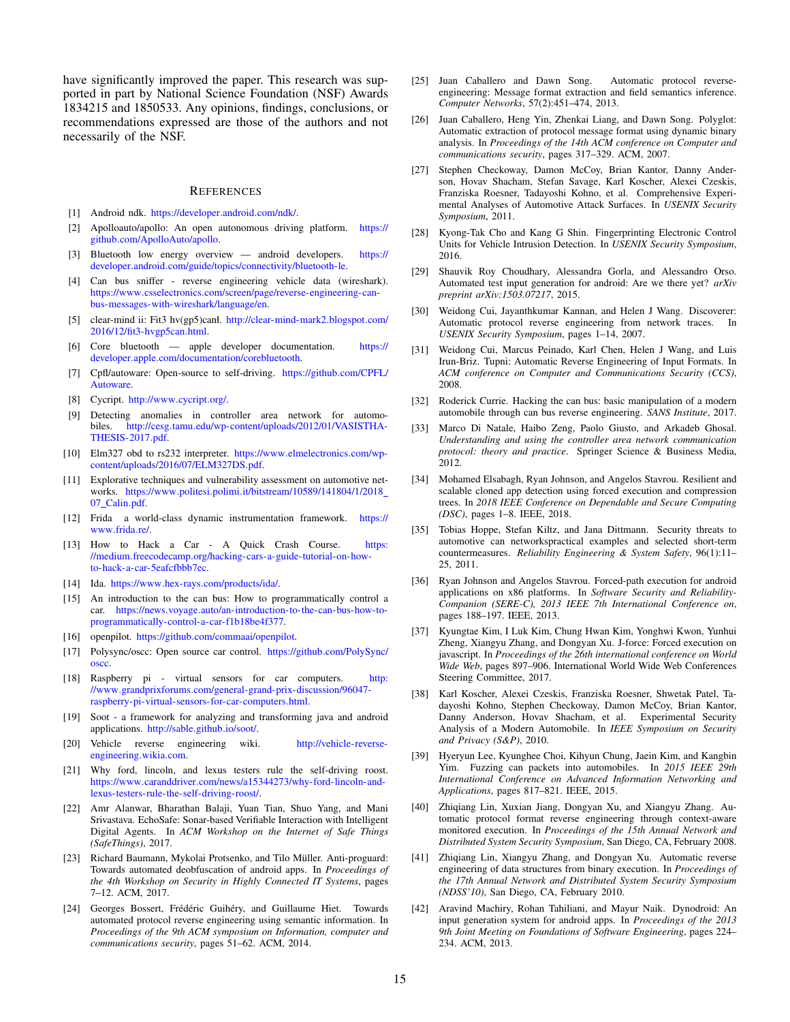have significantly improved the paper. This research was supported in part by National Science Foundation (NSF) Awards 1834215 and 1850533. Any opinions, findings, conclusions, or recommendations expressed are those of the authors and not necessarily of the NSF.

#### **REFERENCES**

- <span id="page-14-30"></span>[1] Android ndk. [https://developer](https://developer.android.com/ndk/).android.com/ndk/.
- <span id="page-14-17"></span>[2] Apolloauto/apollo: An open autonomous driving platform. [https://](https://github.com/ApolloAuto/apollo) github.[com/ApolloAuto/apollo.](https://github.com/ApolloAuto/apollo)
- <span id="page-14-27"></span>[3] Bluetooth low energy overview — android developers. [https://](https://developer.android.com/guide/topics/connectivity/bluetooth-le) developer.android.[com/guide/topics/connectivity/bluetooth-le.](https://developer.android.com/guide/topics/connectivity/bluetooth-le)
- <span id="page-14-7"></span>[4] Can bus sniffer - reverse engineering vehicle data (wireshark). https://www.csselectronics.[com/screen/page/reverse-engineering-can](https://www.csselectronics.com/screen/page/reverse-engineering-can-bus-messages-with-wireshark/language/en)[bus-messages-with-wireshark/language/en.](https://www.csselectronics.com/screen/page/reverse-engineering-can-bus-messages-with-wireshark/language/en)
- <span id="page-14-33"></span>[5] clear-mind ii: Fit3 hv(gp5)canł. [http://clear-mind-mark2](http://clear-mind-mark2.blogspot.com/2016/12/fit3-hvgp5can.html).blogspot.com/ [2016/12/fit3-hvgp5can](http://clear-mind-mark2.blogspot.com/2016/12/fit3-hvgp5can.html).html.
- <span id="page-14-26"></span>[6] Core bluetooth — apple developer documentation. [https://](https://developer.apple.com/documentation/corebluetooth) developer.apple.[com/documentation/corebluetooth.](https://developer.apple.com/documentation/corebluetooth)
- <span id="page-14-18"></span>[7] Cpfl/autoware: Open-source to self-driving. [https://github](https://github.com/CPFL/Autoware).com/CPFL/ [Autoware.](https://github.com/CPFL/Autoware)
- <span id="page-14-28"></span>[8] Cycript. [http://www](http://www.cycript.org/).cycript.org/.
- <span id="page-14-34"></span>[9] Detecting anomalies in controller area network for automobiles. http://cesg.tamu.[edu/wp-content/uploads/2012/01/VASISTHA-](http://cesg.tamu.edu/wp-content/uploads/2012/01/VASISTHA-THESIS-2017.pdf)[THESIS-2017](http://cesg.tamu.edu/wp-content/uploads/2012/01/VASISTHA-THESIS-2017.pdf).pdf.
- <span id="page-14-31"></span>[10] Elm327 obd to rs232 interpreter. https://www.[elmelectronics](https://www.elmelectronics.com/wp-content/uploads/2016/07/ELM327DS.pdf).com/wp[content/uploads/2016/07/ELM327DS](https://www.elmelectronics.com/wp-content/uploads/2016/07/ELM327DS.pdf).pdf.
- <span id="page-14-35"></span>[11] Explorative techniques and vulnerability assessment on automotive networks. https://www.politesi.polimi.[it/bitstream/10589/141804/1/2018](https://www.politesi.polimi.it/bitstream/10589/141804/1/2018_07_Calin.pdf) 07 [Calin](https://www.politesi.polimi.it/bitstream/10589/141804/1/2018_07_Calin.pdf).pdf.
- <span id="page-14-29"></span>[12] Frida a world-class dynamic instrumentation framework. [https://](https://www.frida.re/) [www](https://www.frida.re/).frida.re/.
- <span id="page-14-6"></span>[13] How to Hack a Car - A Quick Crash Course. [https:](https://medium.freecodecamp.org/hacking-cars-a-guide-tutorial-on-how-to-hack-a-car-5eafcfbbb7ec) //medium.freecodecamp.[org/hacking-cars-a-guide-tutorial-on-how](https://medium.freecodecamp.org/hacking-cars-a-guide-tutorial-on-how-to-hack-a-car-5eafcfbbb7ec)[to-hack-a-car-5eafcfbbb7ec.](https://medium.freecodecamp.org/hacking-cars-a-guide-tutorial-on-how-to-hack-a-car-5eafcfbbb7ec)
- <span id="page-14-24"></span>[14] Ida. https://www.hex-rays.[com/products/ida/.](https://www.hex-rays.com/products/ida/)
- <span id="page-14-4"></span>[15] An introduction to the can bus: How to programmatically control a car. https://news.voyage.[auto/an-introduction-to-the-can-bus-how-to](https://news.voyage.auto/an-introduction-to-the-can-bus-how-to-programmatically-control-a-car-f1b18be4f377)[programmatically-control-a-car-f1b18be4f377.](https://news.voyage.auto/an-introduction-to-the-can-bus-how-to-programmatically-control-a-car-f1b18be4f377)
- <span id="page-14-19"></span>[16] openpilot. https://github.[com/commaai/openpilot.](https://github.com/commaai/openpilot)
- <span id="page-14-15"></span>[17] Polysync/oscc: Open source car control. https://github.[com/PolySync/](https://github.com/PolySync/oscc) [oscc.](https://github.com/PolySync/oscc)
- <span id="page-14-32"></span>[18] Raspberry pi - virtual sensors for car computers. [http:](http://www.grandprixforums.com/general-grand-prix-discussion/96047-raspberry-pi-virtual-sensors-for-car-computers.html) //www.grandprixforums.[com/general-grand-prix-discussion/96047](http://www.grandprixforums.com/general-grand-prix-discussion/96047-raspberry-pi-virtual-sensors-for-car-computers.html) [raspberry-pi-virtual-sensors-for-car-computers](http://www.grandprixforums.com/general-grand-prix-discussion/96047-raspberry-pi-virtual-sensors-for-car-computers.html).html.
- <span id="page-14-25"></span>[19] Soot - a framework for analyzing and transforming java and android applications. [http://sable](http://sable.github.io/soot/).github.io/soot/.
- <span id="page-14-5"></span>[20] Vehicle reverse engineering wiki. [http://vehicle-reverse](http://vehicle-reverse-engineering.wikia.com)[engineering](http://vehicle-reverse-engineering.wikia.com).wikia.com.
- <span id="page-14-20"></span>[21] Why ford, lincoln, and lexus testers rule the self-driving roost. https://www.caranddriver.[com/news/a15344273/why-ford-lincoln-and](https://www.caranddriver.com/news/a15344273/why-ford-lincoln-and-lexus-testers-rule-the-self-driving-roost/)[lexus-testers-rule-the-self-driving-roost/.](https://www.caranddriver.com/news/a15344273/why-ford-lincoln-and-lexus-testers-rule-the-self-driving-roost/)
- <span id="page-14-37"></span>[22] Amr Alanwar, Bharathan Balaji, Yuan Tian, Shuo Yang, and Mani Srivastava. EchoSafe: Sonar-based Verifiable Interaction with Intelligent Digital Agents. In *ACM Workshop on the Internet of Safe Things (SafeThings)*, 2017.
- <span id="page-14-36"></span>[23] Richard Baumann, Mykolai Protsenko, and Tilo Müller. Anti-proguard: Towards automated deobfuscation of android apps. In *Proceedings of the 4th Workshop on Security in Highly Connected IT Systems*, pages 7–12. ACM, 2017.
- <span id="page-14-13"></span>[24] Georges Bossert, Frédéric Guihéry, and Guillaume Hiet. Towards automated protocol reverse engineering using semantic information. In *Proceedings of the 9th ACM symposium on Information, computer and communications security*, pages 51–62. ACM, 2014.
- <span id="page-14-12"></span>[25] Juan Caballero and Dawn Song. Automatic protocol reverseengineering: Message format extraction and field semantics inference. *Computer Networks*, 57(2):451–474, 2013.
- <span id="page-14-38"></span>[26] Juan Caballero, Heng Yin, Zhenkai Liang, and Dawn Song. Polyglot: Automatic extraction of protocol message format using dynamic binary analysis. In *Proceedings of the 14th ACM conference on Computer and communications security*, pages 317–329. ACM, 2007.
- <span id="page-14-1"></span>[27] Stephen Checkoway, Damon McCoy, Brian Kantor, Danny Anderson, Hovav Shacham, Stefan Savage, Karl Koscher, Alexei Czeskis, Franziska Roesner, Tadayoshi Kohno, et al. Comprehensive Experimental Analyses of Automotive Attack Surfaces. In *USENIX Security Symposium*, 2011.
- <span id="page-14-3"></span>[28] Kyong-Tak Cho and Kang G Shin. Fingerprinting Electronic Control Units for Vehicle Intrusion Detection. In *USENIX Security Symposium*, 2016.
- <span id="page-14-22"></span>[29] Shauvik Roy Choudhary, Alessandra Gorla, and Alessandro Orso. Automated test input generation for android: Are we there yet? *arXiv preprint arXiv:1503.07217*, 2015.
- <span id="page-14-40"></span>[30] Weidong Cui, Jayanthkumar Kannan, and Helen J Wang. Discoverer: Automatic protocol reverse engineering from network traces. In *USENIX Security Symposium*, pages 1–14, 2007.
- <span id="page-14-41"></span>[31] Weidong Cui, Marcus Peinado, Karl Chen, Helen J Wang, and Luis Irun-Briz. Tupni: Automatic Reverse Engineering of Input Formats. In *ACM conference on Computer and Communications Security (CCS)*, 2008.
- <span id="page-14-2"></span>[32] Roderick Currie. Hacking the can bus: basic manipulation of a modern automobile through can bus reverse engineering. *SANS Institute*, 2017.
- <span id="page-14-14"></span>[33] Marco Di Natale, Haibo Zeng, Paolo Giusto, and Arkadeb Ghosal. *Understanding and using the controller area network communication protocol: theory and practice*. Springer Science & Business Media, 2012.
- <span id="page-14-10"></span>[34] Mohamed Elsabagh, Ryan Johnson, and Angelos Stavrou. Resilient and scalable cloned app detection using forced execution and compression trees. In *2018 IEEE Conference on Dependable and Secure Computing (DSC)*, pages 1–8. IEEE, 2018.
- <span id="page-14-16"></span>[35] Tobias Hoppe, Stefan Kiltz, and Jana Dittmann. Security threats to automotive can networkspractical examples and selected short-term countermeasures. *Reliability Engineering & System Safety*, 96(1):11– 25, 2011.
- <span id="page-14-9"></span>[36] Ryan Johnson and Angelos Stavrou. Forced-path execution for android applications on x86 platforms. In *Software Security and Reliability-Companion (SERE-C), 2013 IEEE 7th International Conference on*, pages 188–197. IEEE, 2013.
- <span id="page-14-23"></span>[37] Kyungtae Kim, I Luk Kim, Chung Hwan Kim, Yonghwi Kwon, Yunhui Zheng, Xiangyu Zhang, and Dongyan Xu. J-force: Forced execution on javascript. In *Proceedings of the 26th international conference on World Wide Web*, pages 897–906. International World Wide Web Conferences Steering Committee, 2017.
- <span id="page-14-0"></span>[38] Karl Koscher, Alexei Czeskis, Franziska Roesner, Shwetak Patel, Tadayoshi Kohno, Stephen Checkoway, Damon McCoy, Brian Kantor, Danny Anderson, Hovav Shacham, et al. Experimental Security Analysis of a Modern Automobile. In *IEEE Symposium on Security and Privacy (S&P)*, 2010.
- <span id="page-14-8"></span>[39] Hyeryun Lee, Kyunghee Choi, Kihyun Chung, Jaein Kim, and Kangbin Yim. Fuzzing can packets into automobiles. In *2015 IEEE 29th International Conference on Advanced Information Networking and Applications*, pages 817–821. IEEE, 2015.
- <span id="page-14-39"></span>[40] Zhiqiang Lin, Xuxian Jiang, Dongyan Xu, and Xiangyu Zhang. Automatic protocol format reverse engineering through context-aware monitored execution. In *Proceedings of the 15th Annual Network and Distributed System Security Symposium*, San Diego, CA, February 2008.
- <span id="page-14-11"></span>[41] Zhiqiang Lin, Xiangyu Zhang, and Dongyan Xu. Automatic reverse engineering of data structures from binary execution. In *Proceedings of the 17th Annual Network and Distributed System Security Symposium (NDSS'10)*, San Diego, CA, February 2010.
- <span id="page-14-21"></span>[42] Aravind Machiry, Rohan Tahiliani, and Mayur Naik. Dynodroid: An input generation system for android apps. In *Proceedings of the 2013 9th Joint Meeting on Foundations of Software Engineering*, pages 224– 234. ACM, 2013.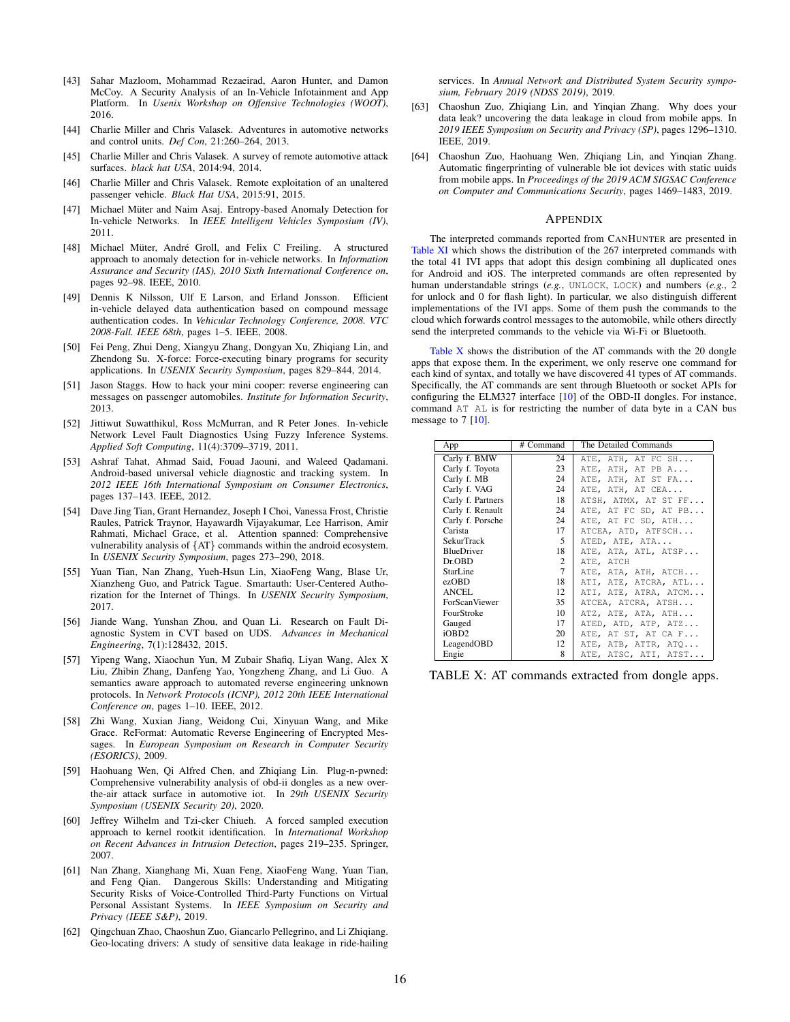- <span id="page-15-2"></span>[43] Sahar Mazloom, Mohammad Rezaeirad, Aaron Hunter, and Damon McCoy. A Security Analysis of an In-Vehicle Infotainment and App Platform. In *Usenix Workshop on Offensive Technologies (WOOT)*, 2016.
- <span id="page-15-8"></span>[44] Charlie Miller and Chris Valasek. Adventures in automotive networks and control units. *Def Con*, 21:260–264, 2013.
- <span id="page-15-9"></span>[45] Charlie Miller and Chris Valasek. A survey of remote automotive attack surfaces. *black hat USA*, 2014:94, 2014.
- <span id="page-15-10"></span>[46] Charlie Miller and Chris Valasek. Remote exploitation of an unaltered passenger vehicle. *Black Hat USA*, 2015:91, 2015.
- <span id="page-15-3"></span>[47] Michael Müter and Naim Asaj. Entropy-based Anomaly Detection for In-vehicle Networks. In *IEEE Intelligent Vehicles Symposium (IV)*, 2011.
- <span id="page-15-7"></span>[48] Michael Müter, André Groll, and Felix C Freiling. A structured approach to anomaly detection for in-vehicle networks. In *Information Assurance and Security (IAS), 2010 Sixth International Conference on*, pages 92–98. IEEE, 2010.
- <span id="page-15-20"></span>[49] Dennis K Nilsson, Ulf E Larson, and Erland Jonsson. Efficient in-vehicle delayed data authentication based on compound message authentication codes. In *Vehicular Technology Conference, 2008. VTC 2008-Fall. IEEE 68th*, pages 1–5. IEEE, 2008.
- <span id="page-15-13"></span>[50] Fei Peng, Zhui Deng, Xiangyu Zhang, Dongyan Xu, Zhiqiang Lin, and Zhendong Su. X-force: Force-executing binary programs for security applications. In *USENIX Security Symposium*, pages 829–844, 2014.
- <span id="page-15-19"></span>[51] Jason Staggs. How to hack your mini cooper: reverse engineering can messages on passenger automobiles. *Institute for Information Security*, 2013.
- <span id="page-15-1"></span>[52] Jittiwut Suwatthikul, Ross McMurran, and R Peter Jones. In-vehicle Network Level Fault Diagnostics Using Fuzzy Inference Systems. *Applied Soft Computing*, 11(4):3709–3719, 2011.
- <span id="page-15-15"></span>[53] Ashraf Tahat, Ahmad Said, Fouad Jaouni, and Waleed Qadamani. Android-based universal vehicle diagnostic and tracking system. In *2012 IEEE 16th International Symposium on Consumer Electronics*, pages 137–143. IEEE, 2012.
- <span id="page-15-14"></span>[54] Dave Jing Tian, Grant Hernandez, Joseph I Choi, Vanessa Frost, Christie Raules, Patrick Traynor, Hayawardh Vijayakumar, Lee Harrison, Amir Rahmati, Michael Grace, et al. Attention spanned: Comprehensive vulnerability analysis of {AT} commands within the android ecosystem. In *USENIX Security Symposium*, pages 273–290, 2018.
- <span id="page-15-17"></span>[55] Yuan Tian, Nan Zhang, Yueh-Hsun Lin, XiaoFeng Wang, Blase Ur, Xianzheng Guo, and Patrick Tague. Smartauth: User-Centered Authorization for the Internet of Things. In *USENIX Security Symposium*, 2017.
- <span id="page-15-0"></span>[56] Jiande Wang, Yunshan Zhou, and Quan Li. Research on Fault Diagnostic System in CVT based on UDS. *Advances in Mechanical Engineering*, 7(1):128432, 2015.
- <span id="page-15-5"></span>[57] Yipeng Wang, Xiaochun Yun, M Zubair Shafiq, Liyan Wang, Alex X Liu, Zhibin Zhang, Danfeng Yao, Yongzheng Zhang, and Li Guo. A semantics aware approach to automated reverse engineering unknown protocols. In *Network Protocols (ICNP), 2012 20th IEEE International Conference on*, pages 1–10. IEEE, 2012.
- <span id="page-15-21"></span>[58] Zhi Wang, Xuxian Jiang, Weidong Cui, Xinyuan Wang, and Mike Grace. ReFormat: Automatic Reverse Engineering of Encrypted Messages. In *European Symposium on Research in Computer Security (ESORICS)*, 2009.
- <span id="page-15-6"></span>[59] Haohuang Wen, Qi Alfred Chen, and Zhiqiang Lin. Plug-n-pwned: Comprehensive vulnerability analysis of obd-ii dongles as a new overthe-air attack surface in automotive iot. In *29th USENIX Security Symposium (USENIX Security 20)*, 2020.
- <span id="page-15-4"></span>[60] Jeffrey Wilhelm and Tzi-cker Chiueh. A forced sampled execution approach to kernel rootkit identification. In *International Workshop on Recent Advances in Intrusion Detection*, pages 219–235. Springer, 2007.
- <span id="page-15-18"></span>[61] Nan Zhang, Xianghang Mi, Xuan Feng, XiaoFeng Wang, Yuan Tian, and Feng Qian. Dangerous Skills: Understanding and Mitigating Security Risks of Voice-Controlled Third-Party Functions on Virtual Personal Assistant Systems. In *IEEE Symposium on Security and Privacy (IEEE S&P)*, 2019.
- <span id="page-15-22"></span>[62] Qingchuan Zhao, Chaoshun Zuo, Giancarlo Pellegrino, and Li Zhiqiang. Geo-locating drivers: A study of sensitive data leakage in ride-hailing

services. In *Annual Network and Distributed System Security symposium, February 2019 (NDSS 2019)*, 2019.

- <span id="page-15-11"></span>[63] Chaoshun Zuo, Zhiqiang Lin, and Yinqian Zhang. Why does your data leak? uncovering the data leakage in cloud from mobile apps. In *2019 IEEE Symposium on Security and Privacy (SP)*, pages 1296–1310. IEEE, 2019.
- <span id="page-15-12"></span>[64] Chaoshun Zuo, Haohuang Wen, Zhiqiang Lin, and Yinqian Zhang. Automatic fingerprinting of vulnerable ble iot devices with static uuids from mobile apps. In *Proceedings of the 2019 ACM SIGSAC Conference on Computer and Communications Security*, pages 1469–1483, 2019.

#### APPENDIX

The interpreted commands reported from CANHUNTER are presented in [Table XI](#page-16-0) which shows the distribution of the 267 interpreted commands with the total 41 IVI apps that adopt this design combining all duplicated ones for Android and iOS. The interpreted commands are often represented by human understandable strings (*e.g.*, UNLOCK, LOCK) and numbers (*e.g.*, 2 for unlock and 0 for flash light). In particular, we also distinguish different implementations of the IVI apps. Some of them push the commands to the cloud which forwards control messages to the automobile, while others directly send the interpreted commands to the vehicle via Wi-Fi or Bluetooth.

[Table X](#page-15-16) shows the distribution of the AT commands with the 20 dongle apps that expose them. In the experiment, we only reserve one command for each kind of syntax, and totally we have discovered 41 types of AT commands. Specifically, the AT commands are sent through Bluetooth or socket APIs for configuring the ELM327 interface [\[10\]](#page-14-31) of the OBD-II dongles. For instance, command AT AL is for restricting the number of data byte in a CAN bus message to 7 [\[10\]](#page-14-31).

<span id="page-15-16"></span>

| App                  | # Command      | The Detailed Commands |
|----------------------|----------------|-----------------------|
| Carly f. BMW         | 24             | ATE, ATH, AT FC SH    |
| Carly f. Toyota      | 23             | ATE, ATH, AT PB A     |
| Carly f. MB          | 24             | ATE, ATH, AT ST FA    |
| Carly f. VAG         | 24             | ATE, ATH, AT CEA      |
| Carly f. Partners    | 18             | ATSH, ATMX, AT ST FF  |
| Carly f. Renault     | 24             | ATE, AT FC SD, AT PB  |
| Carly f. Porsche     | 24             | ATE, AT FC SD, ATH    |
| Carista              | 17             | ATCEA, ATD, ATFSCH    |
| SekurTrack           | .5             | ATED, ATE, ATA        |
| <b>BlueDriver</b>    | 18             | ATE, ATA, ATL, ATSP   |
| Dr.ORD               | $\overline{c}$ | ATE, ATCH             |
| <b>StarLine</b>      | $\tau$         | ATE, ATA, ATH, ATCH   |
| ezOBD                | 18             | ATI, ATE, ATCRA, ATL  |
| ANCEL.               | 12             | ATI, ATE, ATRA, ATCM  |
| <b>ForScanViewer</b> | 35             | ATCEA, ATCRA, ATSH    |
| FourStroke           | 10             | ATZ, ATE, ATA, ATH    |
| Gauged               | 17             | ATED, ATD, ATP, ATZ   |
| iOBD2                | 20             | ATE, AT ST, AT CA F   |
| LeagendOBD           | 12             | ATE, ATB, ATTR, ATO   |
| Engie                | 8              | ATE, ATSC, ATI, ATST  |

TABLE X: AT commands extracted from dongle apps.